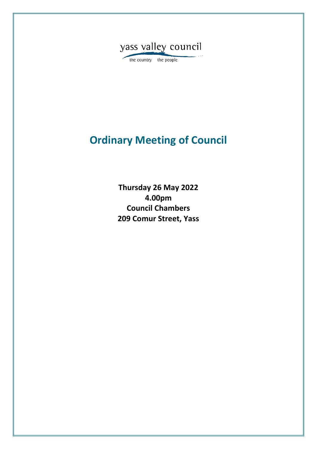

the country the people

# **Ordinary Meeting of Council**

**Thursday 26 May 2022 4.00pm Council Chambers 209 Comur Street, Yass**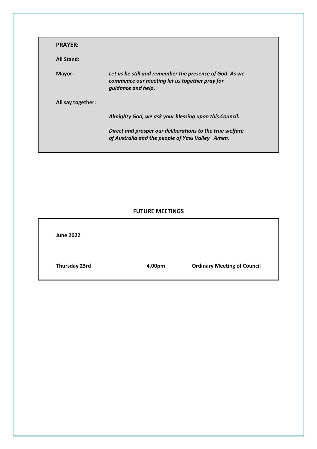| <b>PRAYER:</b>    |                                                                                                                                |
|-------------------|--------------------------------------------------------------------------------------------------------------------------------|
| <b>All Stand:</b> |                                                                                                                                |
| Mayor:            | Let us be still and remember the presence of God. As we<br>commence our meeting let us together pray for<br>quidance and help. |
| All say together: |                                                                                                                                |
|                   | Almighty God, we ask your blessing upon this Council.                                                                          |
|                   | Direct and prosper our deliberations to the true welfare<br>of Australia and the people of Yass Valley Amen.                   |

# **FUTURE MEETINGS**

| <b>June 2022</b> |        |                                    |
|------------------|--------|------------------------------------|
| Thursday 23rd    | 4.00pm | <b>Ordinary Meeting of Council</b> |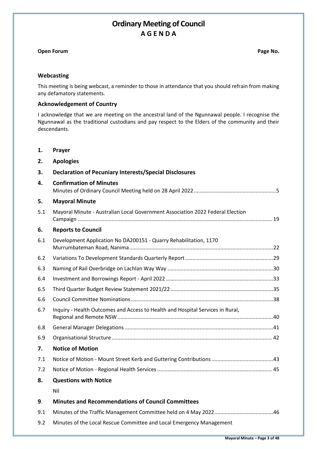# **Ordinary Meeting of Council A G E N D A**

# **Open Forum Page No. Page No. Page No. Page No. Page No. Page No.**

# **Webcasting**

This meeting is being webcast, a reminder to those in attendance that you should refrain from making any defamatory statements.

# **Acknowledgement of Country**

I acknowledge that we are meeting on the ancestral land of the Ngunnawal people. I recognise the Ngunnawal as the traditional custodians and pay respect to the Elders of the community and their descendants.

**1. Prayer**

| 2.  | <b>Apologies</b>                                                               |
|-----|--------------------------------------------------------------------------------|
| 3.  | <b>Declaration of Pecuniary Interests/Special Disclosures</b>                  |
| 4.  | <b>Confirmation of Minutes</b>                                                 |
| 5.  | <b>Mayoral Minute</b>                                                          |
| 5.1 | Mayoral Minute - Australian Local Government Association 2022 Federal Election |
| 6.  | <b>Reports to Council</b>                                                      |
| 6.1 | Development Application No DA200151 - Quarry Rehabilitation, 1170              |
| 6.2 |                                                                                |
| 6.3 |                                                                                |
| 6.4 |                                                                                |
| 6.5 |                                                                                |
| 6.6 |                                                                                |
| 6.7 | Inquiry - Health Outcomes and Access to Health and Hospital Services in Rural, |
| 6.8 |                                                                                |
| 6.9 |                                                                                |
| 7.  | <b>Notice of Motion</b>                                                        |
| 7.1 |                                                                                |
| 7.2 |                                                                                |
| 8.  | <b>Questions with Notice</b>                                                   |
|     | Nil                                                                            |
| 9.  | <b>Minutes and Recommendations of Council Committees</b>                       |
| 9.1 |                                                                                |
| 9.2 | Minutes of the Local Rescue Committee and Local Emergency Management           |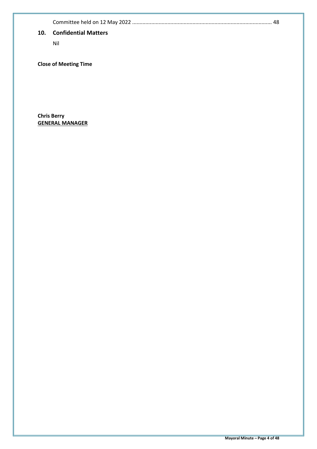Committee held on 12 May 2022 ............................................................................................... [48](#page-47-0)

# **10. Confidential Matters**

Nil

# **Close of Meeting Time**

**Chris Berry GENERAL MANAGER**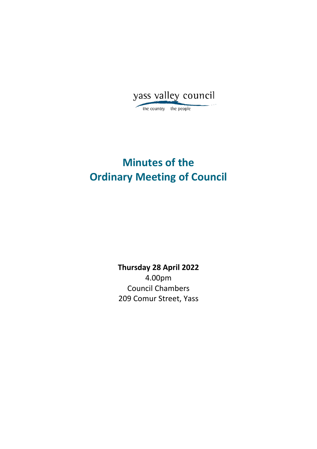<span id="page-4-0"></span>yass valley council

the country the people

# **Minutes of the Ordinary Meeting of Council**

**Thursday 28 April 2022** 4.00pm Council Chambers 209 Comur Street, Yass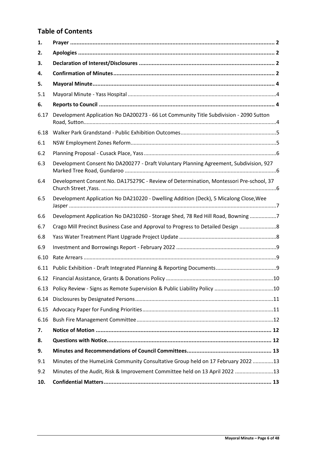# **Table of Contents**

| 1.   |                                                                                        |
|------|----------------------------------------------------------------------------------------|
| 2.   |                                                                                        |
| 3.   |                                                                                        |
| 4.   |                                                                                        |
| 5.   |                                                                                        |
| 5.1  |                                                                                        |
| 6.   |                                                                                        |
| 6.17 | Development Application No DA200273 - 66 Lot Community Title Subdivision - 2090 Sutton |
| 6.18 |                                                                                        |
| 6.1  |                                                                                        |
| 6.2  |                                                                                        |
| 6.3  | Development Consent No DA200277 - Draft Voluntary Planning Agreement, Subdivision, 927 |
| 6.4  | Development Consent No. DA175279C - Review of Determination, Montessori Pre-school, 37 |
| 6.5  | Development Application No DA210220 - Dwelling Addition (Deck), 5 Micalong Close, Wee  |
| 6.6  | Development Application No DA210260 - Storage Shed, 78 Red Hill Road, Bowning 7        |
| 6.7  | Crago Mill Precinct Business Case and Approval to Progress to Detailed Design          |
| 6.8  |                                                                                        |
| 6.9  |                                                                                        |
| 6.10 |                                                                                        |
| 6.11 |                                                                                        |
|      |                                                                                        |
| 6.13 |                                                                                        |
| 6.14 |                                                                                        |
| 6.15 |                                                                                        |
| 6.16 |                                                                                        |
| 7.   |                                                                                        |
| 8.   |                                                                                        |
| 9.   |                                                                                        |
| 9.1  | Minutes of the HumeLink Community Consultative Group held on 17 February 2022 13       |
| 9.2  | Minutes of the Audit, Risk & Improvement Committee held on 13 April 2022 13            |
| 10.  |                                                                                        |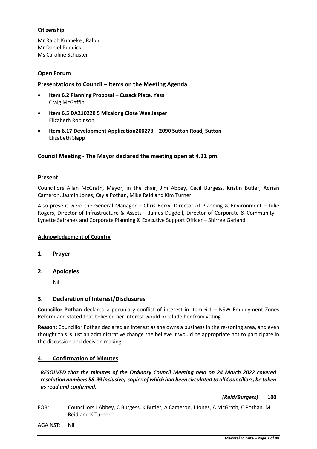# **Citizenship**

Mr Ralph Kunneke , Ralph Mr Daniel Puddick Ms Caroline Schuster

# **Open Forum**

# **Presentations to Council – Items on the Meeting Agenda**

- **Item 6.2 Planning Proposal – Cusack Place, Yass** Craig McGaffin
- **Item 6.5 DA210220 5 Micalong Close Wee Jasper** Elizabeth Robinson
- **Item 6.17 Development Application200273 – 2090 Sutton Road, Sutton** Elizabeth Slapp

# **Council Meeting - The Mayor declared the meeting open at 4.31 pm.**

# **Present**

Councillors Allan McGrath, Mayor, in the chair, Jim Abbey, Cecil Burgess, Kristin Butler, Adrian Cameron, Jasmin Jones, Cayla Pothan, Mike Reid and Kim Turner.

Also present were the General Manager – Chris Berry, Director of Planning & Environment – Julie Rogers, Director of Infrastructure & Assets – James Dugdell, Director of Corporate & Community – Lynette Safranek and Corporate Planning & Executive Support Officer – Shirree Garland.

# **Acknowledgement of Country**

# **1. Prayer**

# **2. Apologies**

Nil

# **3. Declaration of Interest/Disclosures**

**Councillor Pothan** declared a pecuniary conflict of interest in Item 6.1 – NSW Employment Zones Reform and stated that believed her interest would preclude her from voting.

**Reason:** Councillor Pothan declared an interest as she owns a business in the re-zoning area, and even thought this is just an administrative change she believe it would be appropriate not to participate in the discussion and decision making.

# **4. Confirmation of Minutes**

# *RESOLVED that the minutes of the Ordinary Council Meeting held on 24 March 2022 covered resolution numbers 58-99 inclusive, copies of which had been circulated to all Councillors, be taken as read and confirmed.*

# *(Reid/Burgess)* **100**

FOR: Councillors J Abbey, C Burgess, K Butler, A Cameron, J Jones, A McGrath, C Pothan, M Reid and K Turner

AGAINST: Nil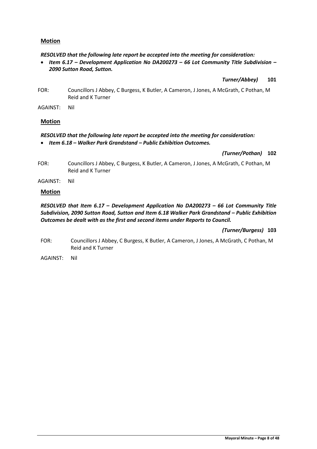# **Motion**

*RESOLVED that the following late report be accepted into the meeting for consideration:*

• *Item 6.17 – Development Application No DA200273 – 66 Lot Community Title Subdivision – 2090 Sutton Road, Sutton.*

*Turner/Abbey)* **101**

- FOR: Councillors J Abbey, C Burgess, K Butler, A Cameron, J Jones, A McGrath, C Pothan, M Reid and K Turner
- AGAINST: Nil

# **Motion**

# *RESOLVED that the following late report be accepted into the meeting for consideration:* • *Item 6.18 – Walker Park Grandstand – Public Exhibition Outcomes.*

# *(Turner/Pothan)* **102**

- FOR: Councillors J Abbey, C Burgess, K Butler, A Cameron, J Jones, A McGrath, C Pothan, M Reid and K Turner
- AGAINST: Nil

# **Motion**

# *RESOLVED that Item 6.17 – Development Application No DA200273 – 66 Lot Community Title Subdivision, 2090 Sutton Road, Sutton and Item 6.18 Walker Park Grandstand - Public Exhibition Outcomes be dealt with as the first and second items under Reports to Council.*

# *(Turner/Burgess)* **103**

- FOR: Councillors J Abbey, C Burgess, K Butler, A Cameron, J Jones, A McGrath, C Pothan, M Reid and K Turner
- AGAINST: Nil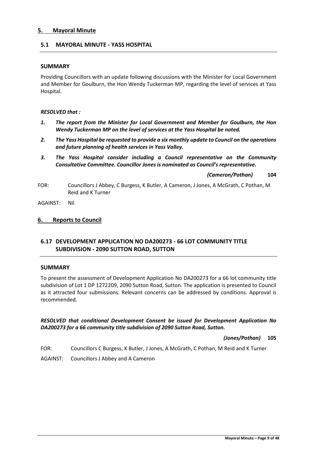# **5. Mayoral Minute**

# **5.1 MAYORAL MINUTE - YASS HOSPITAL**

# **SUMMARY**

Providing Councillors with an update following discussions with the Minister for Local Government and Member for Goulburn, the Hon Wendy Tuckerman MP, regarding the level of services at Yass Hospital.

# *RESOLVED that :*

- *1. The report from the Minister for Local Government and Member for Goulburn, the Hon Wendy Tuckerman MP on the level of services at the Yass Hospital be noted.*
- *2. The Yass Hospital be requested to provide a six monthly update to Council on the operations and future planning of health services in Yass Valley.*
- *3. The Yass Hospital consider including a Council representative on the Community Consultative Committee. Councillor Jones is nominated as Council's representative.*

*(Cameron/Pothan)* **104**

FOR: Councillors J Abbey, C Burgess, K Butler, A Cameron, J Jones, A McGrath, C Pothan, M Reid and K Turner

AGAINST: Nil

# **6. Reports to Council**

# **6.17 DEVELOPMENT APPLICATION NO DA200273 - 66 LOT COMMUNITY TITLE SUBDIVISION - 2090 SUTTON ROAD, SUTTON**

# **SUMMARY**

To present the assessment of Development Application No DA200273 for a 66 lot community title subdivision of Lot 1 DP 1272209, 2090 Sutton Road, Sutton. The application is presented to Council as it attracted four submissions. Relevant concerns can be addressed by conditions. Approval is recommended.

*RESOLVED that conditional Development Consent be issued for Development Application No DA200273 for a 66 community title subdivision of 2090 Sutton Road, Sutton.*

*(Jones/Pothan)* **105**

FOR: Councillors C Burgess, K Butler, J Jones, A McGrath, C Pothan, M Reid and K Turner

AGAINST: Councillors J Abbey and A Cameron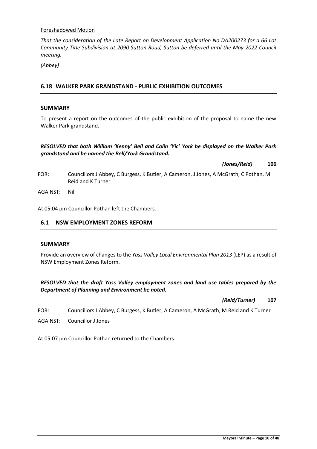# Foreshadowed Motion

*That the consideration of the Late Report on Development Application No DA200273 for a 66 Lot Community Title Subdivision at 2090 Sutton Road, Sutton be deferred until the May 2022 Council meeting.*

*(Abbey)*

# **6.18 WALKER PARK GRANDSTAND - PUBLIC EXHIBITION OUTCOMES**

# **SUMMARY**

To present a report on the outcomes of the public exhibition of the proposal to name the new Walker Park grandstand.

# *RESOLVED that both William 'Kenny' Bell and Colin 'Yic' York be displayed on the Walker Park grandstand and be named the Bell/York Grandstand.*

*(Jones/Reid)* **106**

FOR: Councillors J Abbey, C Burgess, K Butler, A Cameron, J Jones, A McGrath, C Pothan, M Reid and K Turner

AGAINST: Nil

At 05:04 pm Councillor Pothan left the Chambers.

# **6.1 NSW EMPLOYMENT ZONES REFORM**

# **SUMMARY**

Provide an overview of changes to the *Yass Valley Local Environmental Plan 2013* (LEP) as a result of NSW Employment Zones Reform.

# *RESOLVED that the draft Yass Valley employment zones and land use tables prepared by the Department of Planning and Environment be noted.*

*(Reid/Turner)* **107**

FOR: Councillors J Abbey, C Burgess, K Butler, A Cameron, A McGrath, M Reid and K Turner

AGAINST: Councillor J Jones

At 05:07 pm Councillor Pothan returned to the Chambers.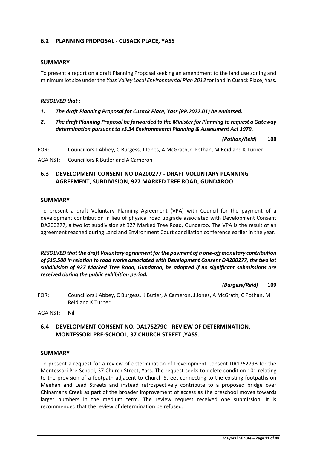# **SUMMARY**

To present a report on a draft Planning Proposal seeking an amendment to the land use zoning and minimum lot size under the *Yass Valley Local Environmental Plan 2013* for land in Cusack Place, Yass.

#### *RESOLVED that :*

- *1. The draft Planning Proposal for Cusack Place, Yass (PP.2022.01) be endorsed.*
- *2. The draft Planning Proposal be forwarded to the Minister for Planning to request a Gateway determination pursuant to s3.34 Environmental Planning & Assessment Act 1979.*

*(Pothan/Reid)* **108**

FOR: Councillors J Abbey, C Burgess, J Jones, A McGrath, C Pothan, M Reid and K Turner

AGAINST: Councillors K Butler and A Cameron

# **6.3 DEVELOPMENT CONSENT NO DA200277 - DRAFT VOLUNTARY PLANNING AGREEMENT, SUBDIVISION, 927 MARKED TREE ROAD, GUNDAROO**

#### **SUMMARY**

To present a draft Voluntary Planning Agreement (VPA) with Council for the payment of a development contribution in lieu of physical road upgrade associated with Development Consent DA200277, a two lot subdivision at 927 Marked Tree Road, Gundaroo. The VPA is the result of an agreement reached during Land and Environment Court conciliation conference earlier in the year.

*RESOLVED that the draft Voluntary agreement for the payment of a one-off monetary contribution of \$15,500 in relation to road works associated with Development Consent DA200277, the two lot subdivision of 927 Marked Tree Road, Gundaroo, be adopted if no significant submissions are received during the public exhibition period.*

*(Burgess/Reid)* **109**

FOR: Councillors J Abbey, C Burgess, K Butler, A Cameron, J Jones, A McGrath, C Pothan, M Reid and K Turner

AGAINST: Nil

# **6.4 DEVELOPMENT CONSENT NO. DA175279C - REVIEW OF DETERMINATION, MONTESSORI PRE-SCHOOL, 37 CHURCH STREET ,YASS.**

#### **SUMMARY**

To present a request for a review of determination of Development Consent DA175279B for the Montessori Pre-School, 37 Church Street, Yass. The request seeks to delete condition 101 relating to the provision of a footpath adjacent to Church Street connecting to the existing footpaths on Meehan and Lead Streets and instead retrospectively contribute to a proposed bridge over Chinamans Creek as part of the broader improvement of access as the preschool moves towards larger numbers in the medium term. The review request received one submission. It is recommended that the review of determination be refused.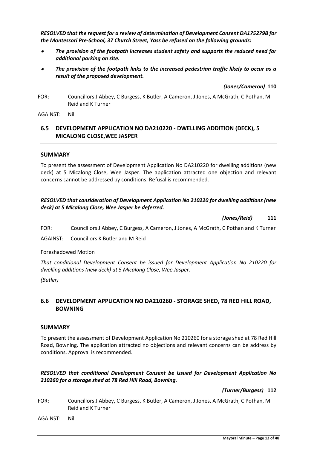*RESOLVED that the request for a review of determination of Development Consent DA175279B for the Montessori Pre-School, 37 Church Street, Yass be refused on the following grounds:*

- *The provision of the footpath increases student safety and supports the reduced need for additional parking on site.*
- *The provision of the footpath links to the increased pedestrian traffic likely to occur as a result of the proposed development.*

*(Jones/Cameron)* **110**

FOR: Councillors J Abbey, C Burgess, K Butler, A Cameron, J Jones, A McGrath, C Pothan, M Reid and K Turner

AGAINST: Nil

# **6.5 DEVELOPMENT APPLICATION NO DA210220 - DWELLING ADDITION (DECK), 5 MICALONG CLOSE,WEE JASPER**

# **SUMMARY**

To present the assessment of Development Application No DA210220 for dwelling additions (new deck) at 5 Micalong Close, Wee Jasper. The application attracted one objection and relevant concerns cannot be addressed by conditions. Refusal is recommended.

# *RESOLVED that consideration of Development Application No 210220 for dwelling additions (new deck) at 5 Micalong Close, Wee Jasper be deferred.*

*(Jones/Reid)* **111**

FOR: Councillors J Abbey, C Burgess, A Cameron, J Jones, A McGrath, C Pothan and K Turner

AGAINST: Councillors K Butler and M Reid

Foreshadowed Motion

*That conditional Development Consent be issued for Development Application No 210220 for dwelling additions (new deck) at 5 Micalong Close, Wee Jasper.*

*(Butler)*

# **6.6 DEVELOPMENT APPLICATION NO DA210260 - STORAGE SHED, 78 RED HILL ROAD, BOWNING**

# **SUMMARY**

To present the assessment of Development Application No 210260 for a storage shed at 78 Red Hill Road, Bowning. The application attracted no objections and relevant concerns can be address by conditions. Approval is recommended.

# *RESOLVED that conditional Development Consent be issued for Development Application No 210260 for a storage shed at 78 Red Hill Road, Bowning.*

*(Turner/Burgess)* **112**

FOR: Councillors J Abbey, C Burgess, K Butler, A Cameron, J Jones, A McGrath, C Pothan, M Reid and K Turner

AGAINST: Nil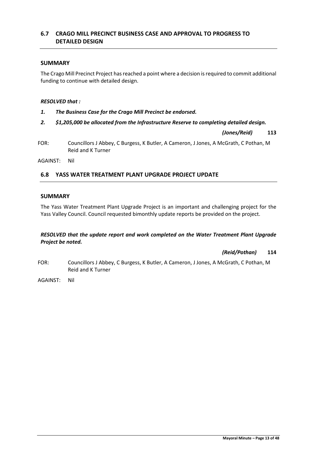*RESOLVED that the update report and work completed on the Water Treatment Plant Upgrade* 

*(Reid/Pothan)* **114**

FOR: Councillors J Abbey, C Burgess, K Butler, A Cameron, J Jones, A McGrath, C Pothan, M Reid and K Turner

The Yass Water Treatment Plant Upgrade Project is an important and challenging project for the

Yass Valley Council. Council requested bimonthly update reports be provided on the project.

*Project be noted.*

AGAINST: Nil

# **6.7 CRAGO MILL PRECINCT BUSINESS CASE AND APPROVAL TO PROGRESS TO DETAILED DESIGN**

# **SUMMARY**

The Crago Mill Precinct Project has reached a point where a decision is required to commit additional funding to continue with detailed design.

# *RESOLVED that :*

- *1. The Business Case for the Crago Mill Precinct be endorsed.*
- *2. \$1,205,000 be allocated from the Infrastructure Reserve to completing detailed design.*

*(Jones/Reid)* **113**

FOR: Councillors J Abbey, C Burgess, K Butler, A Cameron, J Jones, A McGrath, C Pothan, M Reid and K Turner

AGAINST: Nil

**SUMMARY**

# **6.8 YASS WATER TREATMENT PLANT UPGRADE PROJECT UPDATE**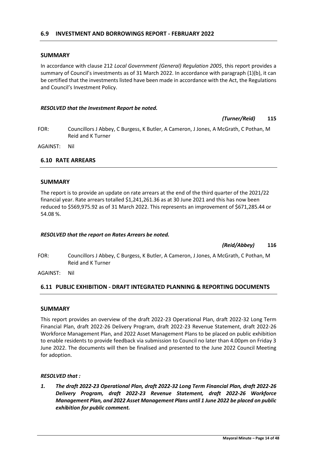# **SUMMARY**

In accordance with clause 212 *Local Government (General) Regulation 2005*, this report provides a summary of Council's investments as of 31 March 2022. In accordance with paragraph (1)(b), it can be certified that the investments listed have been made in accordance with the Act, the Regulations and Council's Investment Policy.

#### *RESOLVED that the Investment Report be noted.*

*(Turner/Reid)* **115**

FOR: Councillors J Abbey, C Burgess, K Butler, A Cameron, J Jones, A McGrath, C Pothan, M Reid and K Turner

AGAINST: Nil

# **6.10 RATE ARREARS**

# **SUMMARY**

The report is to provide an update on rate arrears at the end of the third quarter of the 2021/22 financial year. Rate arrears totalled \$1,241,261.36 as at 30 June 2021 and this has now been reduced to \$569,975.92 as of 31 March 2022. This represents an improvement of \$671,285.44 or 54.08 %.

#### *RESOLVED that the report on Rates Arrears be noted.*

*(Reid/Abbey)* **116**

- FOR: Councillors J Abbey, C Burgess, K Butler, A Cameron, J Jones, A McGrath, C Pothan, M Reid and K Turner
- AGAINST: Nil

# **6.11 PUBLIC EXHIBITION - DRAFT INTEGRATED PLANNING & REPORTING DOCUMENTS**

#### **SUMMARY**

This report provides an overview of the draft 2022-23 Operational Plan, draft 2022-32 Long Term Financial Plan, draft 2022-26 Delivery Program, draft 2022-23 Revenue Statement, draft 2022-26 Workforce Management Plan, and 2022 Asset Management Plans to be placed on public exhibition to enable residents to provide feedback via submission to Council no later than 4.00pm on Friday 3 June 2022. The documents will then be finalised and presented to the June 2022 Council Meeting for adoption.

# *RESOLVED that :*

*1. The draft 2022-23 Operational Plan, draft 2022-32 Long Term Financial Plan, draft 2022-26 Delivery Program, draft 2022-23 Revenue Statement, draft 2022-26 Workforce Management Plan, and 2022 Asset Management Plans until 1 June 2022 be placed on public exhibition for public comment.*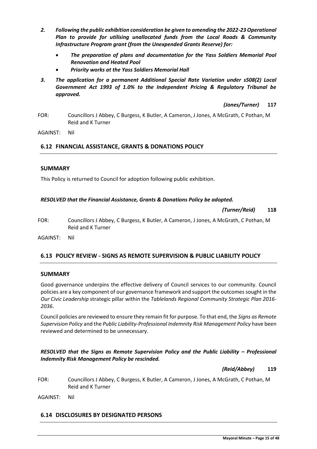- *2. Following the public exhibition consideration be given to amending the 2022-23 Operational Plan to provide for utilising unallocated funds from the Local Roads & Community Infrastructure Program grant (from the Unexpended Grants Reserve) for:*
	- *The preparation of plans and documentation for the Yass Soldiers Memorial Pool Renovation and Heated Pool*
	- *Priority works at the Yass Soldiers Memorial Hall*
- *3. The application for a permanent Additional Special Rate Variation under s508(2) Local Government Act 1993 of 1.0% to the Independent Pricing & Regulatory Tribunal be approved.*

*(Jones/Turner)* **117**

FOR: Councillors J Abbey, C Burgess, K Butler, A Cameron, J Jones, A McGrath, C Pothan, M Reid and K Turner

AGAINST: Nil

# **6.12 FINANCIAL ASSISTANCE, GRANTS & DONATIONS POLICY**

# **SUMMARY**

This Policy is returned to Council for adoption following public exhibition.

# *RESOLVED that the Financial Assistance, Grants & Donations Policy be adopted.*

*(Turner/Reid)* **118**

FOR: Councillors J Abbey, C Burgess, K Butler, A Cameron, J Jones, A McGrath, C Pothan, M Reid and K Turner

AGAINST: Nil

# **6.13 POLICY REVIEW - SIGNS AS REMOTE SUPERVISION & PUBLIC LIABILITY POLICY**

# **SUMMARY**

Good governance underpins the effective delivery of Council services to our community. Council policies are a key component of our governance framework and support the outcomes sought in the *Our Civic Leadership* strategic pillar within the *Tablelands Regional Community Strategic Plan 2016- 2036*.

Council policies are reviewed to ensure they remain fit for purpose. To that end, the *Signs as Remote Supervision Policy* and the *Public Liability-Professional Indemnity Risk Management Policy* have been reviewed and determined to be unnecessary.

# *RESOLVED that the Signs as Remote Supervision Policy and the Public Liability – Professional Indemnity Risk Management Policy be rescinded.*

*(Reid/Abbey)* **119**

FOR: Councillors J Abbey, C Burgess, K Butler, A Cameron, J Jones, A McGrath, C Pothan, M Reid and K Turner

AGAINST: Nil

# **6.14 DISCLOSURES BY DESIGNATED PERSONS**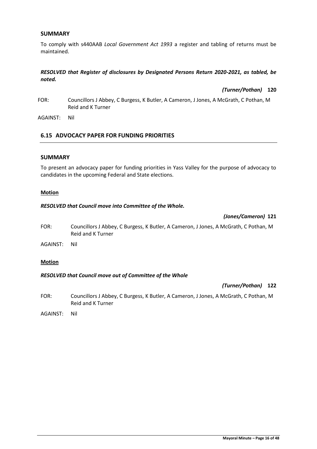# **SUMMARY**

To comply with s440AAB *Local Government Act 1993* a register and tabling of returns must be maintained.

# *RESOLVED that Register of disclosures by Designated Persons Return 2020-2021, as tabled, be noted.*

*(Turner/Pothan)* **120**

- FOR: Councillors J Abbey, C Burgess, K Butler, A Cameron, J Jones, A McGrath, C Pothan, M Reid and K Turner
- AGAINST: Nil

# **6.15 ADVOCACY PAPER FOR FUNDING PRIORITIES**

#### **SUMMARY**

To present an advocacy paper for funding priorities in Yass Valley for the purpose of advocacy to candidates in the upcoming Federal and State elections.

#### **Motion**

#### *RESOLVED that Council move into Committee of the Whole.*

#### *(Jones/Cameron)* **121**

- FOR: Councillors J Abbey, C Burgess, K Butler, A Cameron, J Jones, A McGrath, C Pothan, M Reid and K Turner
- AGAINST: Nil

#### **Motion**

#### *RESOLVED that Council move out of Committee of the Whole*

*(Turner/Pothan)* **122**

- FOR: Councillors J Abbey, C Burgess, K Butler, A Cameron, J Jones, A McGrath, C Pothan, M Reid and K Turner
- AGAINST: Nil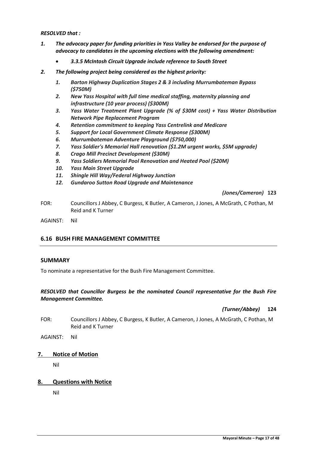*RESOLVED that :*

- *1. The advocacy paper for funding priorities in Yass Valley be endorsed for the purpose of advocacy to candidates in the upcoming elections with the following amendment:*
	- *3.3.5 McIntosh Circuit Upgrade include reference to South Street*
- *2. The following project being considered as the highest priority:*
	- *1. Barton Highway Duplication Stages 2 & 3 including Murrumbateman Bypass (\$750M)*
	- *2. New Yass Hospital with full time medical staffing, maternity planning and infrastructure (10 year process) (\$300M)*
	- *3. Yass Water Treatment Plant Upgrade (% of \$30M cost) + Yass Water Distribution Network Pipe Replacement Program*
	- *4. Retention commitment to keeping Yass Centrelink and Medicare*
	- *5. Support for Local Government Climate Response (\$300M)*
	- *6. Murrumbateman Adventure Playground (\$750,000)*
	- *7. Yass Soldier's Memorial Hall renovation (\$1.2M urgent works, \$5M upgrade)*
	- *8. Crago Mill Precinct Development (\$30M)*
	- *9. Yass Soldiers Memorial Pool Renovation and Heated Pool (\$20M)*
	- *10. Yass Main Street Upgrade*
	- *11. Shingle Hill Way/Federal Highway Junction*
	- *12. Gundaroo Sutton Road Upgrade and Maintenance*

*(Jones/Cameron)* **123**

FOR: Councillors J Abbey, C Burgess, K Butler, A Cameron, J Jones, A McGrath, C Pothan, M Reid and K Turner

AGAINST: Nil

# **6.16 BUSH FIRE MANAGEMENT COMMITTEE**

# **SUMMARY**

To nominate a representative for the Bush Fire Management Committee.

# *RESOLVED that Councillor Burgess be the nominated Council representative for the Bush Fire Management Committee.*

*(Turner/Abbey)* **124**

- FOR: Councillors J Abbey, C Burgess, K Butler, A Cameron, J Jones, A McGrath, C Pothan, M Reid and K Turner
- AGAINST: Nil

# **7. Notice of Motion**

Nil

# **8. Questions with Notice**

Nil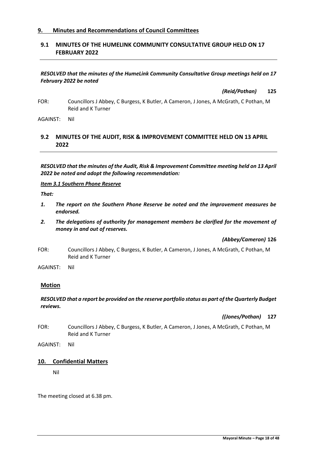# **9. Minutes and Recommendations of Council Committees**

# **9.1 MINUTES OF THE HUMELINK COMMUNITY CONSULTATIVE GROUP HELD ON 17 FEBRUARY 2022**

# *RESOLVED that the minutes of the HumeLink Community Consultative Group meetings held on 17 February 2022 be noted*

*(Reid/Pothan)* **125**

FOR: Councillors J Abbey, C Burgess, K Butler, A Cameron, J Jones, A McGrath, C Pothan, M Reid and K Turner

AGAINST: Nil

# **9.2 MINUTES OF THE AUDIT, RISK & IMPROVEMENT COMMITTEE HELD ON 13 APRIL 2022**

*RESOLVED that the minutes of the Audit, Risk & Improvement Committee meeting held on 13 April 2022 be noted and adopt the following recommendation:*

*Item 3.1 Southern Phone Reserve*

*That:*

- *1. The report on the Southern Phone Reserve be noted and the improvement measures be endorsed.*
- *2. The delegations of authority for management members be clarified for the movement of money in and out of reserves.*

*(Abbey/Cameron)* **126**

FOR: Councillors J Abbey, C Burgess, K Butler, A Cameron, J Jones, A McGrath, C Pothan, M Reid and K Turner

AGAINST: Nil

# **Motion**

# *RESOLVED that a report be provided on the reserve portfolio status as part of the Quarterly Budget reviews.*

*((Jones/Pothan)* **127**

FOR: Councillors J Abbey, C Burgess, K Butler, A Cameron, J Jones, A McGrath, C Pothan, M Reid and K Turner

AGAINST: Nil

# **10. Confidential Matters**

Nil

The meeting closed at 6.38 pm.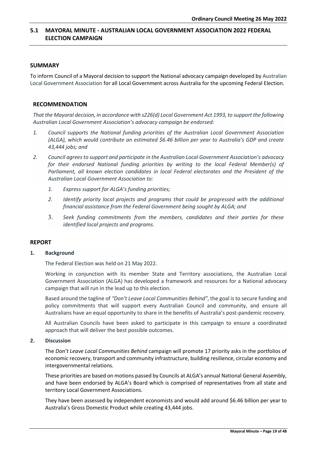# <span id="page-18-0"></span>**5.1 MAYORAL MINUTE - AUSTRALIAN LOCAL GOVERNMENT ASSOCIATION 2022 FEDERAL ELECTION CAMPAIGN**

# **SUMMARY**

To inform Council of a Mayoral decision to support the National advocacy campaign developed by Australian Local Government Association for all Local Government across Australia for the upcoming Federal Election.

# **RECOMMENDATION**

*That the Mayoral decision, in accordance with s226(d) Local Government Act 1993, to support the following Australian Local Government Association's advocacy campaign be endorsed:*

- *1. Council supports the National funding priorities of the Australian Local Government Association (ALGA), which would contribute an estimated \$6.46 billion per year to Australia's GDP and create 43,444 jobs; and*
- *2. Council agrees to support and participate in the Australian Local Government Association's advocacy for their endorsed National funding priorities by writing to the local Federal Member(s) of Parliament, all known election candidates in local Federal electorates and the President of the Australian Local Government Association to:*
	- *1. Express support for ALGA's funding priorities;*
	- *2. Identify priority local projects and programs that could be progressed with the additional financial assistance from the Federal Government being sought by ALGA; and*
	- 3. *Seek funding commitments from the members, candidates and their parties for these identified local projects and programs.*

# **REPORT**

#### **1. Background**

The Federal Election was held on 21 May 2022.

Working in conjunction with its member State and Territory associations, the Australian Local Government Association (ALGA) has developed a framework and resources for a National advocacy campaign that will run in the lead up to this election.

Based around the tagline of *"Don't Leave Local Communities Behind"*, the goal is to secure funding and policy commitments that will support every Australian Council and community, and ensure all Australians have an equal opportunity to share in the benefits of Australia's post-pandemic recovery.

All Australian Councils have been asked to participate in this campaign to ensure a coordinated approach that will deliver the best possible outcomes.

# **2. Discussion**

The *Don't Leave Local Communities Behind* campaign will promote 17 priority asks in the portfolios of economic recovery, transport and community infrastructure, building resilience, circular economy and intergovernmental relations.

These priorities are based on motions passed by Councils at ALGA's annual National General Assembly, and have been endorsed by ALGA's Board which is comprised of representatives from all state and territory Local Government Associations.

They have been assessed by independent economists and would add around \$6.46 billion per year to Australia's Gross Domestic Product while creating 43,444 jobs.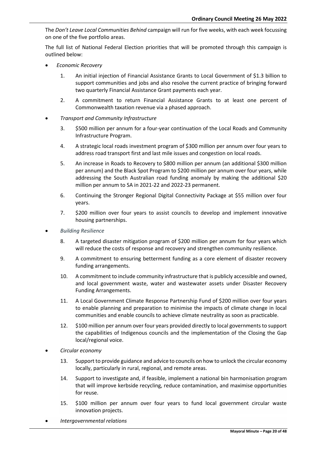The *Don't Leave Local Communities Behind* campaign will run for five weeks, with each week focussing on one of the five portfolio areas.

The full list of National Federal Election priorities that will be promoted through this campaign is outlined below:

- *Economic Recovery*
	- 1. An initial injection of Financial Assistance Grants to Local Government of \$1.3 billion to support communities and jobs and also resolve the current practice of bringing forward two quarterly Financial Assistance Grant payments each year.
	- 2. A commitment to return Financial Assistance Grants to at least one percent of Commonwealth taxation revenue via a phased approach.
- *Transport and Community Infrastructure*
	- 3. \$500 million per annum for a four-year continuation of the Local Roads and Community Infrastructure Program.
	- 4. A strategic local roads investment program of \$300 million per annum over four years to address road transport first and last mile issues and congestion on local roads.
	- 5. An increase in Roads to Recovery to \$800 million per annum (an additional \$300 million per annum) and the Black Spot Program to \$200 million per annum over four years, while addressing the South Australian road funding anomaly by making the additional \$20 million per annum to SA in 2021-22 and 2022-23 permanent.
	- 6. Continuing the Stronger Regional Digital Connectivity Package at \$55 million over four years.
	- 7. \$200 million over four years to assist councils to develop and implement innovative housing partnerships.
- *Building Resilience*
	- 8. A targeted disaster mitigation program of \$200 million per annum for four years which will reduce the costs of response and recovery and strengthen community resilience.
	- 9. A commitment to ensuring betterment funding as a core element of disaster recovery funding arrangements.
	- 10. A commitment to include community infrastructure that is publicly accessible and owned, and local government waste, water and wastewater assets under Disaster Recovery Funding Arrangements.
	- 11. A Local Government Climate Response Partnership Fund of \$200 million over four years to enable planning and preparation to minimise the impacts of climate change in local communities and enable councils to achieve climate neutrality as soon as practicable.
	- 12. \$100 million per annum over four years provided directly to local governments to support the capabilities of Indigenous councils and the implementation of the Closing the Gap local/regional voice.
- *Circular economy*
	- 13. Support to provide guidance and advice to councils on how to unlock the circular economy locally, particularly in rural, regional, and remote areas.
	- 14. Support to investigate and, if feasible, implement a national bin harmonisation program that will improve kerbside recycling, reduce contamination, and maximise opportunities for reuse.
	- 15. \$100 million per annum over four years to fund local government circular waste innovation projects.
- *Intergovernmental relations*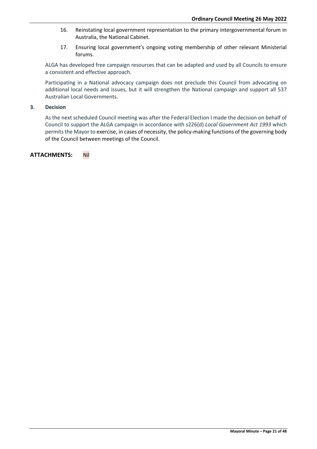- 16. Reinstating local government representation to the primary intergovernmental forum in Australia, the National Cabinet.
- 17. Ensuring local government's ongoing voting membership of other relevant Ministerial forums.

ALGA has developed free campaign resources that can be adapted and used by all Councils to ensure a consistent and effective approach.

Participating in a National advocacy campaign does not preclude this Council from advocating on additional local needs and issues, but it will strengthen the National campaign and support all 537 Australian Local Governments.

# **3. Decision**

As the next scheduled Council meeting was after the Federal Election I made the decision on behalf of Council to support the ALGA campaign in accordance with s226(d) *Local Government Act 1993* which permits the Mayor to exercise, in cases of necessity, the policy-making functions of the governing body of the Council between meetings of the Council.

**ATTACHMENTS:** Nil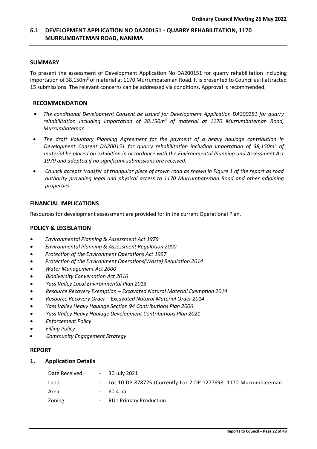# <span id="page-21-0"></span>**6.1 DEVELOPMENT APPLICATION NO DA200151 - QUARRY REHABILITATION, 1170 MURRUMBATEMAN ROAD, NANIMA**

# **SUMMARY**

To present the assessment of Development Application No DA200151 for quarry rehabilitation including importation of 38,150m<sup>3</sup> of material at 1170 Murrumbateman Road. It is presented to Council as it attracted 15 submissions. The relevant concerns can be addressed via conditions. Approval is recommended.

# **RECOMMENDATION**

- *The conditional Development Consent be issued for Development Application DA200251 for quarry rehabilitation including importation of 38,150m<sup>3</sup> of material at 1170 Murrumbateman Road, Murrumbateman*
- *The draft Voluntary Planning Agreement for the payment of a heavy haulage contribution in Development Consent DA200151 for quarry rehabilitation including importation of 38,150m<sup>3</sup> of material be placed on exhibition in accordance with the Environmental Planning and Assessment Act 1979 and adopted if no significant submissions are received.*
- *Council accepts transfer of triangular piece of crown road as shown in Figure 1 of the report as road authority providing legal and physical access to 1170 Murrumbateman Road and other adjoining properties.*

# **FINANCIAL IMPLICATIONS**

Resources for development assessment are provided for in the current Operational Plan.

# **POLICY & LEGISLATION**

- *Environmental Planning & Assessment Act 1979*
- *Environmental Planning & Assessment Regulation 2000*
- *Protection of the Environment Operations Act 1997*
- *Protection of the Environment Operations(Waste) Regulation 2014*
- *Water Management Act 2000*
- *Biodiversity Conversation Act 2016*
- *Yass Valley Local Environmental Plan 2013*
- *Resource Recovery Exemption – Excavated Natural Material Exemption 2014*
- *Resource Recovery Order – Excavated Natural Material Order 2014*
- *Yass Valley Heavy Haulage Section 94 Contributions Plan 2006*
- *Yass Valley Heavy Haulage Development Contributions Plan 2021*
- *Enforcement Policy*
- *Filling Policy*
- *Community Engagement Strategy*

#### **REPORT**

**1. Application Details**

| Date Received |        | $-30$ July 2021                                                    |
|---------------|--------|--------------------------------------------------------------------|
| Land          |        | - Lot 10 DP 878725 (Currently Lot 2 DP 1277698, 1170 Murrumbateman |
| Area          | $\sim$ | 60.4 ha                                                            |
| Zoning        |        | - RU1 Primary Production                                           |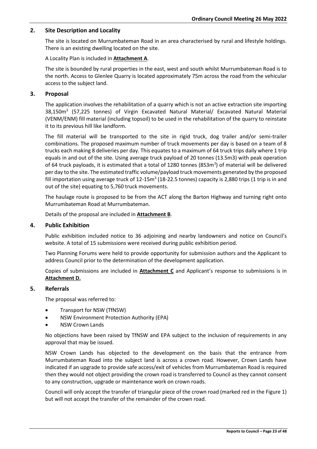# **2. Site Description and Locality**

The site is located on Murrumbateman Road in an area characterised by rural and lifestyle holdings. There is an existing dwelling located on the site.

A Locality Plan is included in **Attachment A**.

The site is bounded by rural properties in the east, west and south whilst Murrumbateman Road is to the north. Access to Glenlee Quarry is located approximately 75m across the road from the vehicular access to the subject land.

# **3. Proposal**

The application involves the rehabilitation of a quarry which is not an active extraction site importing 38,150m<sup>3</sup> (57,225 tonnes) of Virgin Excavated Natural Material/ Excavated Natural Material (VENM/ENM) fill material (including topsoil) to be used in the rehabilitation of the quarry to reinstate it to its previous hill like landform.

The fill material will be transported to the site in rigid truck, dog trailer and/or semi-trailer combinations. The proposed maximum number of truck movements per day is based on a team of 8 trucks each making 8 deliveries per day. This equates to a maximum of 64 truck trips daily where 1 trip equals in and out of the site. Using average truck payload of 20 tonnes (13.5m3) with peak operation of 64 truck payloads, it is estimated that a total of 1280 tonnes (853m<sup>3</sup>) of material will be delivered per day to the site. The estimated traffic volume/payload truck movements generated by the proposed fill importation using average truck of 12-15 $m^3$  (18-22.5 tonnes) capacity is 2,880 trips (1 trip is in and out of the site) equating to 5,760 truck movements.

The haulage route is proposed to be from the ACT along the Barton Highway and turning right onto Murrumbateman Road at Murrumbateman.

Details of the proposal are included in **Attachment B**.

# **4. Public Exhibition**

Public exhibition included notice to 36 adjoining and nearby landowners and notice on Council's website. A total of 15 submissions were received during public exhibition period.

Two Planning Forums were held to provide opportunity for submission authors and the Applicant to address Council prior to the determination of the development application.

Copies of submissions are included in **Attachment C** and Applicant's response to submissions is in **Attachment D.**

# **5. Referrals**

The proposal was referred to:

- Transport for NSW (TfNSW)
- NSW Environment Protection Authority (EPA)
- **NSW Crown Lands**

No objections have been raised by TfNSW and EPA subject to the inclusion of requirements in any approval that may be issued.

NSW Crown Lands has objected to the development on the basis that the entrance from Murrumbateman Road into the subject land is across a crown road. However, Crown Lands have indicated if an upgrade to provide safe access/exit of vehicles from Murrumbateman Road is required then they would not object providing the crown road is transferred to Council as they cannot consent to any construction, upgrade or maintenance work on crown roads.

Council will only accept the transfer of triangular piece of the crown road (marked red in the Figure 1) but will not accept the transfer of the remainder of the crown road.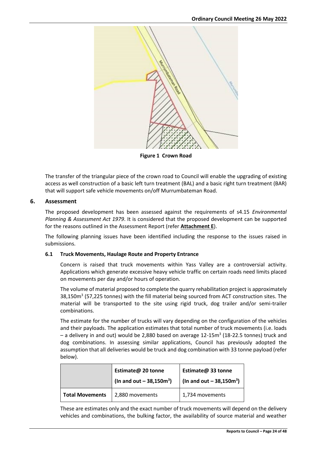

**Figure 1 Crown Road**

The transfer of the triangular piece of the crown road to Council will enable the upgrading of existing access as well construction of a basic left turn treatment (BAL) and a basic right turn treatment (BAR) that will support safe vehicle movements on/off Murrumbateman Road.

# **6. Assessment**

The proposed development has been assessed against the requirements of s4.15 *Environmental Planning & Assessment Act 1979*. It is considered that the proposed development can be supported for the reasons outlined in the Assessment Report (refer **Attachment E**).

The following planning issues have been identified including the response to the issues raised in submissions.

# **6.1 Truck Movements, Haulage Route and Property Entrance**

Concern is raised that truck movements within Yass Valley are a controversial activity. Applications which generate excessive heavy vehicle traffic on certain roads need limits placed on movements per day and/or hours of operation.

The volume of material proposed to complete the quarry rehabilitation project is approximately 38,150m<sup>3</sup> (57,225 tonnes) with the fill material being sourced from ACT construction sites. The material will be transported to the site using rigid truck, dog trailer and/or semi-trailer combinations.

The estimate for the number of trucks will vary depending on the configuration of the vehicles and their payloads. The application estimates that total number of truck movements (i.e. loads - a delivery in and out) would be 2,880 based on average 12-15m<sup>3</sup> (18-22.5 tonnes) truck and dog combinations. In assessing similar applications, Council has previously adopted the assumption that all deliveries would be truck and dog combination with 33 tonne payload (refer below).

|                        | Estimate@ 20 tonne<br>(In and out – $38,150m^3$ ) | Estimate@ 33 tonne<br>$\ln \tan \theta$ out - 38,150m <sup>3</sup> ) |
|------------------------|---------------------------------------------------|----------------------------------------------------------------------|
| <b>Total Movements</b> | 2,880 movements                                   | 1,734 movements                                                      |
|                        |                                                   |                                                                      |

These are estimates only and the exact number of truck movements will depend on the delivery vehicles and combinations, the bulking factor, the availability of source material and weather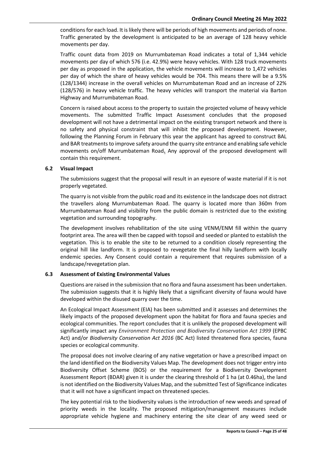conditions for each load. It is likely there will be periods of high movements and periods of none. Traffic generated by the development is anticipated to be an average of 128 heavy vehicle movements per day.

Traffic count data from 2019 on Murrumbateman Road indicates a total of 1,344 vehicle movements per day of which 576 (i.e. 42.9%) were heavy vehicles. With 128 truck movements per day as proposed in the application, the vehicle movements will increase to 1,472 vehicles per day of which the share of heavy vehicles would be 704. This means there will be a 9.5% (128/1344) increase in the overall vehicles on Murrumbateman Road and an increase of 22% (128/576) in heavy vehicle traffic. The heavy vehicles will transport the material via Barton Highway and Murrumbateman Road.

Concern is raised about access to the property to sustain the projected volume of heavy vehicle movements. The submitted Traffic Impact Assessment concludes that the proposed development will not have a detrimental impact on the existing transport network and there is no safety and physical constraint that will inhibit the proposed development. However, following the Planning Forum in February this year the applicant has agreed to construct BAL and BAR treatments to improve safety around the quarry site entrance and enabling safe vehicle movements on/off Murrumbateman Road**.** Any approval of the proposed development will contain this requirement.

# **6.2 Visual Impact**

The submissions suggest that the proposal will result in an eyesore of waste material if it is not properly vegetated.

The quarry is not visible from the public road and its existence in the landscape does not distract the travellers along Murrumbateman Road. The quarry is located more than 360m from Murrumbateman Road and visibility from the public domain is restricted due to the existing vegetation and surrounding topography.

The development involves rehabilitation of the site using VENM/ENM fill within the quarry footprint area. The area will then be capped with topsoil and seeded or planted to establish the vegetation. This is to enable the site to be returned to a condition closely representing the original hill like landform. It is proposed to revegetate the final hilly landform with locally endemic species. Any Consent could contain a requirement that requires submission of a landscape/revegetation plan.

# **6.3 Assessment of Existing Environmental Values**

Questions are raised in the submission that no flora and fauna assessment has been undertaken. The submission suggests that it is highly likely that a significant diversity of fauna would have developed within the disused quarry over the time.

An Ecological Impact Assessment (EIA) has been submitted and it assesses and determines the likely impacts of the proposed development upon the habitat for flora and fauna species and ecological communities. The report concludes that it is unlikely the proposed development will significantly impact any *Environment Protection and Biodiversity Conservation Act 1999* (EPBC Act) and/or *Biodiversity Conservation Act 2016* (BC Act) listed threatened flora species, fauna species or ecological community.

The proposal does not involve clearing of any native vegetation or have a prescribed impact on the land identified on the Biodiversity Values Map. The development does not trigger entry into Biodiversity Offset Scheme (BOS) or the requirement for a Biodiversity Development Assessment Report (BDAR) given it is under the clearing threshold of 1 ha (at 0.46ha), the land is not identified on the Biodiversity Values Map, and the submitted Test of Significance indicates that it will not have a significant impact on threatened species.

The key potential risk to the biodiversity values is the introduction of new weeds and spread of priority weeds in the locality. The proposed mitigation/management measures include appropriate vehicle hygiene and machinery entering the site clear of any weed seed or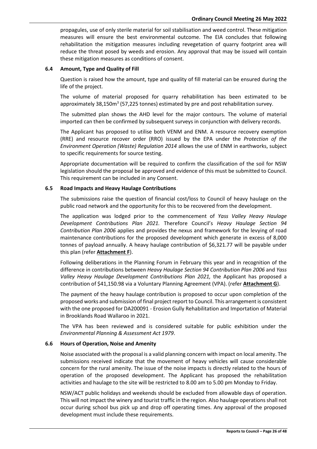propagules, use of only sterile material for soil stabilisation and weed control. These mitigation measures will ensure the best environmental outcome. The EIA concludes that following rehabilitation the mitigation measures including revegetation of quarry footprint area will reduce the threat posed by weeds and erosion. Any approval that may be issued will contain these mitigation measures as conditions of consent.

# **6.4 Amount, Type and Quality of Fill**

Question is raised how the amount, type and quality of fill material can be ensured during the life of the project.

The volume of material proposed for quarry rehabilitation has been estimated to be approximately 38,150m<sup>3</sup> (57,225 tonnes) estimated by pre and post rehabilitation survey.

The submitted plan shows the AHD level for the major contours. The volume of material imported can then be confirmed by subsequent surveys in conjunction with delivery records.

The Applicant has proposed to utilise both VENM and ENM. A resource recovery exemption (RRE) and resource recover order (RRO) issued by the EPA under the *Protection of the Environment Operation (Waste) Regulation 2014* allows the use of ENM in earthworks, subject to specific requirements for source testing.

Appropriate documentation will be required to confirm the classification of the soil for NSW legislation should the proposal be approved and evidence of this must be submitted to Council. This requirement can be included in any Consent.

# **6.5 Road Impacts and Heavy Haulage Contributions**

The submissions raise the question of financial cost/loss to Council of heavy haulage on the public road network and the opportunity for this to be recovered from the development.

The application was lodged prior to the commencement of *Yass Valley Heavy Haulage Development Contributions Plan 2021.* Therefore Council's *Heavy Haulage Section 94 Contribution Plan 2006* applies and provides the nexus and framework for the levying of road maintenance contributions for the proposed development which generate in excess of 8,000 tonnes of payload annually. A heavy haulage contribution of \$6,321.77 will be payable under this plan (refer **Attachment F**).

Following deliberations in the Planning Forum in February this year and in recognition of the difference in contributions between *Heavy Haulage Section 94 Contribution Plan 2006* and *Yass Valley Heavy Haulage Development Contributions Plan 2021,* the Applicant has proposed a contribution of \$41,150.98 via a Voluntary Planning Agreement (VPA). (refer **Attachment G**).

The payment of the heavy haulage contribution is proposed to occur upon completion of the proposed works and submission of final project report to Council. This arrangement is consistent with the one proposed for DA200091 - Erosion Gully Rehabilitation and Importation of Material in Brooklands Road Wallaroo in 2021.

The VPA has been reviewed and is considered suitable for public exhibition under the *Environmental Planning & Assessment Act 1979*.

# **6.6 Hours of Operation, Noise and Amenity**

Noise associated with the proposal is a valid planning concern with impact on local amenity. The submissions received indicate that the movement of heavy vehicles will cause considerable concern for the rural amenity. The issue of the noise impacts is directly related to the hours of operation of the proposed development. The Applicant has proposed the rehabilitation activities and haulage to the site will be restricted to 8.00 am to 5.00 pm Monday to Friday.

NSW/ACT public holidays and weekends should be excluded from allowable days of operation. This will not impact the winery and tourist traffic in the region. Also haulage operations shall not occur during school bus pick up and drop off operating times. Any approval of the proposed development must include these requirements.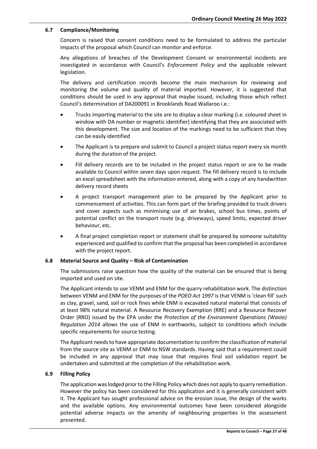# **6.7 Compliance/Monitoring**

Concern is raised that consent conditions need to be formulated to address the particular impacts of the proposal which Council can monitor and enforce.

Any allegations of breaches of the Development Consent or environmental incidents are investigated in accordance with Council's *Enforcement Policy* and the applicable relevant legislation.

The delivery and certification records become the main mechanism for reviewing and monitoring the volume and quality of material imported. However, it is suggested that conditions should be used in any approval that maybe issued, including those which reflect Council's determination of DA200091 in Brooklands Road Wallaroo i.e.:

- Trucks importing material to the site are to display a clear marking (i.e. coloured sheet in window with DA number or magnetic identifier) identifying that they are associated with this development. The size and location of the markings need to be sufficient that they can be easily identified
- The Applicant is to prepare and submit to Council a project status report every six month during the duration of the project.
- Fill delivery records are to be included in the project status report or are to be made available to Council within seven days upon request. The fill delivery record is to include an excel spreadsheet with the information entered, along with a copy of any handwritten delivery record sheets
- A project transport management plan to be prepared by the Applicant prior to commencement of activities. This can form part of the briefing provided to truck drivers and cover aspects such as minimising use of air brakes, school bus times, points of potential conflict on the transport route (e.g. driveways), speed limits, expected driver behaviour, etc.
- A final project completion report or statement shall be prepared by someone suitability experienced and qualified to confirm that the proposal has been completed in accordance with the project report.

# **6.8 Material Source and Quality – Risk of Contamination**

The submissions raise question how the quality of the material can be ensured that is being imported and used on site.

The Applicant intends to use VENM and ENM for the quarry rehabilitation work. The distinction between VENM and ENM for the purposes of the *POEO Act 1997* is that VENM is 'clean fill' such as clay, gravel, sand, soil or rock fines while ENM is excavated natural material that consists of at least 98% natural material. A Resource Recovery Exemption (RRE) and a Resource Recover Order (RRO) issued by the EPA under the *Protection of the Environment Operations (Waste) Regulation 2014* allows the use of ENM in earthworks, subject to conditions which include specific requirements for source testing.

The Applicant needs to have appropriate documentation to confirm the classification of material from the source site as VENM or ENM to NSW standards. Having said that a requirement could be included in any approval that may issue that requires final soil validation report be undertaken and submitted at the completion of the rehabilitation work.

#### **6.9 Filling Policy**

The application was lodged prior to the Filling Policy which does not apply to quarry remediation. However the policy has been considered for this application and it is generally consistent with it. The Applicant has sought professional advice on the erosion issue, the design of the works and the available options. Any environmental outcomes have been considered alongside potential adverse impacts on the amenity of neighbouring properties in the assessment presented.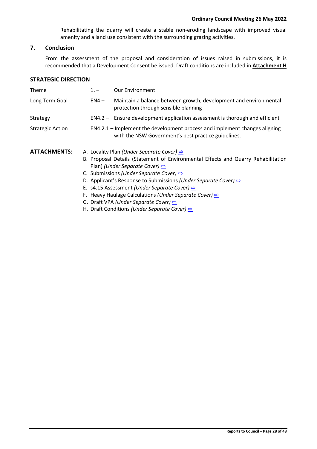Rehabilitating the quarry will create a stable non-eroding landscape with improved visual amenity and a land use consistent with the surrounding grazing activities.

# **7. Conclusion**

From the assessment of the proposal and consideration of issues raised in submissions, it is recommended that a Development Consent be issued. Draft conditions are included in **Attachment H**

# **STRATEGIC DIRECTION**

| <b>Theme</b>            | $1 -$  | <b>Our Environment</b>                                                                                                                                                                                                                                                                                                                                                                     |
|-------------------------|--------|--------------------------------------------------------------------------------------------------------------------------------------------------------------------------------------------------------------------------------------------------------------------------------------------------------------------------------------------------------------------------------------------|
| Long Term Goal          | $EN4-$ | Maintain a balance between growth, development and environmental<br>protection through sensible planning                                                                                                                                                                                                                                                                                   |
| Strategy                |        | EN4.2 - Ensure development application assessment is thorough and efficient                                                                                                                                                                                                                                                                                                                |
| <b>Strategic Action</b> |        | EN4.2.1 – Implement the development process and implement changes aligning<br>with the NSW Government's best practice guidelines.                                                                                                                                                                                                                                                          |
| <b>ATTACHMENTS:</b>     |        | A. Locality Plan (Under Separate Cover) $\Rightarrow$<br>B. Proposal Details (Statement of Environmental Effects and Quarry Rehabilitation<br>Plan) (Under Separate Cover) $\Rightarrow$<br>C. Submissions (Under Separate Cover) $\Rightarrow$<br>D. Applicant's Response to Submissions (Under Separate Cover) $\Rightarrow$<br>E. s4.15 Assessment (Under Separate Cover) $\Rightarrow$ |

- F. Heavy Haulage Calculations *(Under Separate Cover)* [⇨](../../../RedirectToInvalidFileName.aspx?FileName=CO_26052022_ATT_670_EXCLUDED.PDF#PAGE=115)
- G. Draft VPA *(Under Separate Cover)* **[⇨](../../../RedirectToInvalidFileName.aspx?FileName=CO_26052022_ATT_670_EXCLUDED.PDF#PAGE=116)**
- H. Draft Conditions *(Under Separate Cover)* [⇨](../../../RedirectToInvalidFileName.aspx?FileName=CO_26052022_ATT_670_EXCLUDED.PDF#PAGE=133)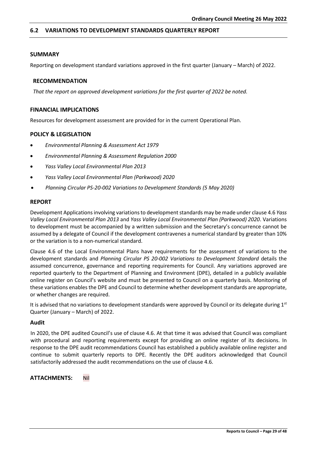# <span id="page-28-0"></span>**6.2 VARIATIONS TO DEVELOPMENT STANDARDS QUARTERLY REPORT**

# **SUMMARY**

Reporting on development standard variations approved in the first quarter (January – March) of 2022.

# **RECOMMENDATION**

*That the report on approved development variations for the first quarter of 2022 be noted.*

# **FINANCIAL IMPLICATIONS**

Resources for development assessment are provided for in the current Operational Plan.

# **POLICY & LEGISLATION**

- *Environmental Planning & Assessment Act 1979*
- *Environmental Planning & Assessment Regulation 2000*
- *Yass Valley Local Environmental Plan 2013*
- *Yass Valley Local Environmental Plan (Parkwood) 2020*
- *Planning Circular PS-20-002 Variations to Development Standards (5 May 2020)*

# **REPORT**

Development Applications involving variations to development standards may be made under clause 4.6 *Yass Valley Local Environmental Plan 2013* and *Yass Valley Local Environmental Plan (Parkwood) 2020*. Variations to development must be accompanied by a written submission and the Secretary's concurrence cannot be assumed by a delegate of Council if the development contravenes a numerical standard by greater than 10% or the variation is to a non-numerical standard.

Clause 4.6 of the Local Environmental Plans have requirements for the assessment of variations to the development standards and *Planning Circular PS 20-002 Variations to Development Standard* details the assumed concurrence, governance and reporting requirements for Council. Any variations approved are reported quarterly to the Department of Planning and Environment (DPE), detailed in a publicly available online register on Council's website and must be presented to Council on a quarterly basis. Monitoring of these variations enables the DPE and Council to determine whether development standards are appropriate, or whether changes are required.

It is advised that no variations to development standards were approved by Council or its delegate during  $1<sup>st</sup>$ Quarter (January – March) of 2022.

#### **Audit**

In 2020, the DPE audited Council's use of clause 4.6. At that time it was advised that Council was compliant with procedural and reporting requirements except for providing an online register of its decisions. In response to the DPE audit recommendations Council has established a publicly available online register and continue to submit quarterly reports to DPE. Recently the DPE auditors acknowledged that Council satisfactorily addressed the audit recommendations on the use of clause 4.6.

**ATTACHMENTS:** Nil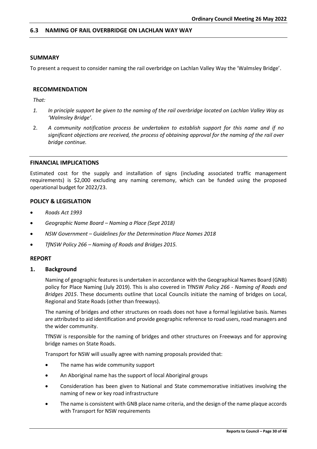# <span id="page-29-0"></span>**6.3 NAMING OF RAIL OVERBRIDGE ON LACHLAN WAY WAY**

# **SUMMARY**

To present a request to consider naming the rail overbridge on Lachlan Valley Way the 'Walmsley Bridge'.

#### **RECOMMENDATION**

*That:*

- *1. In principle support be given to the naming of the rail overbridge located on Lachlan Valley Way as 'Walmsley Bridge'.*
- 2. *A community notification process be undertaken to establish support for this name and if no significant objections are received, the process of obtaining approval for the naming of the rail over bridge continue.*

#### **FINANCIAL IMPLICATIONS**

Estimated cost for the supply and installation of signs (including associated traffic management requirements) is \$2,000 excluding any naming ceremony, which can be funded using the proposed operational budget for 2022/23.

# **POLICY & LEGISLATION**

- *Roads Act 1993*
- *Geographic Name Board – Naming a Place (Sept 2018)*
- *NSW Government – Guidelines for the Determination Place Names 2018*
- *TfNSW Policy 266 – Naming of Roads and Bridges 2015.*

#### **REPORT**

#### **1. Background**

Naming of geographic features is undertaken in accordance with the Geographical Names Board (GNB) policy for Place Naming (July 2019). This is also covered in TfNSW *Policy 266 - Naming of Roads and Bridges 2015*. These documents outline that Local Councils initiate the naming of bridges on Local, Regional and State Roads (other than freeways).

The naming of bridges and other structures on roads does not have a formal legislative basis. Names are attributed to aid identification and provide geographic reference to road users, road managers and the wider community.

TfNSW is responsible for the naming of bridges and other structures on Freeways and for approving bridge names on State Roads.

Transport for NSW will usually agree with naming proposals provided that:

- The name has wide community support
- An Aboriginal name has the support of local Aboriginal groups
- Consideration has been given to National and State commemorative initiatives involving the naming of new or key road infrastructure
- The name is consistent with GNB place name criteria, and the design of the name plaque accords with Transport for NSW requirements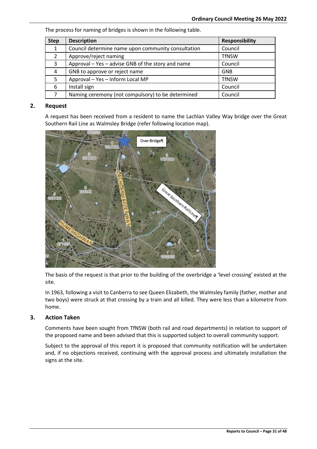The process for naming of bridges is shown in the following table.

| <b>Step</b>   | <b>Description</b>                                 | <b>Responsibility</b> |
|---------------|----------------------------------------------------|-----------------------|
| 1             | Council determine name upon community consultation | Council               |
| $\mathcal{P}$ | Approve/reject naming                              | <b>TfNSW</b>          |
| 3             | Approval – Yes – advise GNB of the story and name  | Council               |
| 4             | GNB to approve or reject name                      | <b>GNB</b>            |
| 5             | Approval - Yes - Inform Local MP                   | <b>TfNSW</b>          |
| 6             | Install sign                                       | Council               |
|               | Naming ceremony (not compulsory) to be determined  | Council               |

# **2. Request**

A request has been received from a resident to name the Lachlan Valley Way bridge over the Great Southern Rail Line as Walmsley Bridge (refer following location map).



The basis of the request is that prior to the building of the overbridge a 'level crossing' existed at the site.

In 1963, following a visit to Canberra to see Queen Elizabeth, the Walmsley family (father, mother and two boys) were struck at that crossing by a train and all killed. They were less than a kilometre from home.

# **3. Action Taken**

Comments have been sought from TfNSW (both rail and road departments) in relation to support of the proposed name and been advised that this is supported subject to overall community support.

Subject to the approval of this report it is proposed that community notification will be undertaken and, if no objections received, continuing with the approval process and ultimately installation the signs at the site.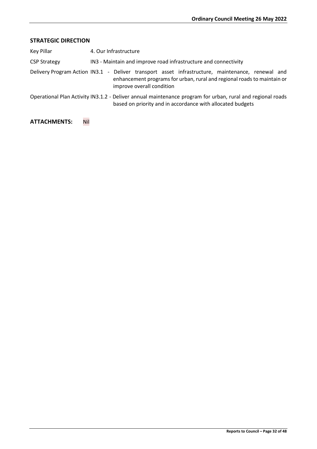# **STRATEGIC DIRECTION**

| Key Pillar          | 4. Our Infrastructure                                                                                                                                                                                    |
|---------------------|----------------------------------------------------------------------------------------------------------------------------------------------------------------------------------------------------------|
| <b>CSP Strategy</b> | IN3 - Maintain and improve road infrastructure and connectivity                                                                                                                                          |
|                     | Delivery Program Action IN3.1 - Deliver transport asset infrastructure, maintenance, renewal and<br>enhancement programs for urban, rural and regional roads to maintain or<br>improve overall condition |
|                     | Operational Plan Activity IN3.1.2 - Deliver annual maintenance program for urban, rural and regional roads<br>based on priority and in accordance with allocated budgets                                 |

# **ATTACHMENTS:** Nil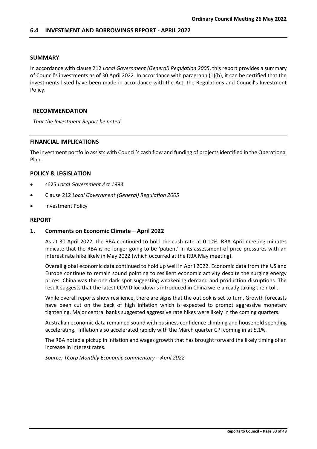# <span id="page-32-0"></span>**6.4 INVESTMENT AND BORROWINGS REPORT - APRIL 2022**

# **SUMMARY**

In accordance with clause 212 *Local Government (General) Regulation 2005*, this report provides a summary of Council's investments as of 30 April 2022. In accordance with paragraph (1)(b), it can be certified that the investments listed have been made in accordance with the Act, the Regulations and Council's Investment Policy.

#### **RECOMMENDATION**

*That the Investment Report be noted.*

#### **FINANCIAL IMPLICATIONS**

The investment portfolio assists with Council's cash flow and funding of projects identified in the Operational Plan.

# **POLICY & LEGISLATION**

- s625 *Local Government Act 1993*
- Clause 212 *Local Government (General) Regulation 2005*
- Investment Policy

#### **REPORT**

# **1. Comments on Economic Climate – April 2022**

As at 30 April 2022, the RBA continued to hold the cash rate at 0.10%. RBA April meeting minutes indicate that the RBA is no longer going to be 'patient' in its assessment of price pressures with an interest rate hike likely in May 2022 (which occurred at the RBA May meeting).

Overall global economic data continued to hold up well in April 2022. Economic data from the US and Europe continue to remain sound pointing to resilient economic activity despite the surging energy prices. China was the one dark spot suggesting weakening demand and production disruptions. The result suggests that the latest COVID lockdowns introduced in China were already taking their toll.

While overall reports show resilience, there are signs that the outlook is set to turn. Growth forecasts have been cut on the back of high inflation which is expected to prompt aggressive monetary tightening. Major central banks suggested aggressive rate hikes were likely in the coming quarters.

Australian economic data remained sound with business confidence climbing and household spending accelerating. Inflation also accelerated rapidly with the March quarter CPI coming in at 5.1%.

The RBA noted a pickup in inflation and wages growth that has brought forward the likely timing of an increase in interest rates.

*Source: TCorp Monthly Economic commentary – April 2022*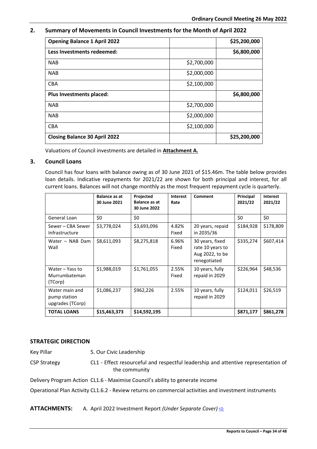# **2. Summary of Movements in Council Investments for the Month of April 2022**

| <b>Opening Balance 1 April 2022</b>  |             | \$25,200,000 |
|--------------------------------------|-------------|--------------|
| Less Investments redeemed:           |             | \$6,800,000  |
| <b>NAB</b>                           | \$2,700,000 |              |
| <b>NAB</b>                           | \$2,000,000 |              |
| <b>CBA</b>                           | \$2,100,000 |              |
| Plus Investments placed:             |             | \$6,800,000  |
| <b>NAB</b>                           | \$2,700,000 |              |
| <b>NAB</b>                           | \$2,000,000 |              |
| <b>CBA</b>                           | \$2,100,000 |              |
| <b>Closing Balance 30 April 2022</b> |             | \$25,200,000 |

Valuations of Council investments are detailed in **Attachment A.**

# **3. Council Loans**

Council has four loans with balance owing as of 30 June 2021 of \$15.46m. The table below provides loan details. Indicative repayments for 2021/22 are shown for both principal and interest, for all current loans. Balances will not change monthly as the most frequent repayment cycle is quarterly.

|                                                    | Balance as at<br>30 June 2021 | Projected<br><b>Balance as at</b><br>30 June 2022 | <b>Interest</b><br>Rate | Comment                                                                | Principal<br>2021/22 | <b>Interest</b><br>2021/22 |
|----------------------------------------------------|-------------------------------|---------------------------------------------------|-------------------------|------------------------------------------------------------------------|----------------------|----------------------------|
| General Loan                                       | \$0                           | \$0                                               |                         |                                                                        | \$0                  | \$0                        |
| Sewer - CBA Sewer<br>Infrastructure                | \$3,778,024                   | \$3,693,096                                       | 4.82%<br>Fixed          | 20 years, repaid<br>in 2035/36                                         | \$184,928            | \$178,809                  |
| Water - NAB Dam<br>Wall                            | \$8,611,093                   | \$8,275,818                                       | 6.96%<br>Fixed          | 30 years, fixed<br>rate 10 years to<br>Aug 2022, to be<br>renegotiated | \$335,274            | \$607,414                  |
| Water - Yass to<br>Murrumbateman<br>(TCorp)        | \$1,988,019                   | \$1,761,055                                       | 2.55%<br>Fixed          | 10 years, fully<br>repaid in 2029                                      | \$226,964            | \$48,536                   |
| Water main and<br>pump station<br>upgrades (TCorp) | \$1,086,237                   | \$962,226                                         | 2.55%                   | 10 years, fully<br>repaid in 2029                                      | \$124,011            | \$26,519                   |
| <b>TOTAL LOANS</b>                                 | \$15,463,373                  | \$14,592,195                                      |                         |                                                                        | \$871,177            | \$861,278                  |

# **STRATEGIC DIRECTION**

Key Pillar 5. Our Civic Leadership

CSP Strategy CL1 - Effect resourceful and respectful leadership and attentive representation of the community

Delivery Program Action CL1.6 - Maximise Council's ability to generate income

Operational Plan Activity CL1.6.2 - Review returns on commercial activities and investment instruments

# **ATTACHMENTS:** A. April 2022 Investment Report *(Under Separate Cover)* [⇨](../../../RedirectToInvalidFileName.aspx?FileName=CO_26052022_ATT_670_EXCLUDED.PDF#PAGE=141)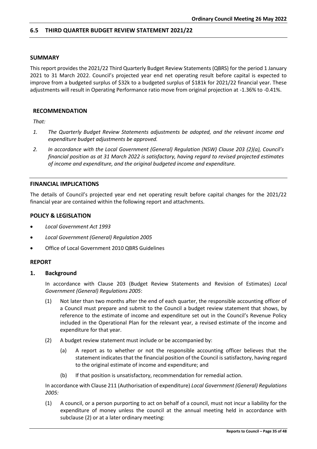# <span id="page-34-0"></span>**6.5 THIRD QUARTER BUDGET REVIEW STATEMENT 2021/22**

# **SUMMARY**

This report provides the 2021/22 Third Quarterly Budget Review Statements (QBRS) for the period 1 January 2021 to 31 March 2022. Council's projected year end net operating result before capital is expected to improve from a budgeted surplus of \$32k to a budgeted surplus of \$181k for 2021/22 financial year. These adjustments will result in Operating Performance ratio move from original projection at -1.36% to -0.41%.

# **RECOMMENDATION**

*That:*

- *1. The Quarterly Budget Review Statements adjustments be adopted, and the relevant income and expenditure budget adjustments be approved.*
- *2. In accordance with the Local Government (General) Regulation (NSW) Clause 203 (2)(a), Council's financial position as at 31 March 2022 is satisfactory, having regard to revised projected estimates of income and expenditure, and the original budgeted income and expenditure.*

# **FINANCIAL IMPLICATIONS**

The details of Council's projected year end net operating result before capital changes for the 2021/22 financial year are contained within the following report and attachments.

# **POLICY & LEGISLATION**

- *Local Government Act 1993*
- *Local Government (General) Regulation 2005*
- Office of Local Government 2010 QBRS Guidelines

#### **REPORT**

# **1. Background**

In accordance with Clause 203 (Budget Review Statements and Revision of Estimates) *Local Government (General) Regulations 2005*:

- (1) Not later than two months after the end of each quarter, the responsible accounting officer of a Council must prepare and submit to the Council a budget review statement that shows, by reference to the estimate of income and expenditure set out in the Council's Revenue Policy included in the Operational Plan for the relevant year, a revised estimate of the income and expenditure for that year.
- (2) A budget review statement must include or be accompanied by:
	- (a) A report as to whether or not the responsible accounting officer believes that the statement indicates that the financial position of the Council is satisfactory, having regard to the original estimate of income and expenditure; and
	- (b) If that position is unsatisfactory, recommendation for remedial action.

In accordance with Clause 211 (Authorisation of expenditure) *Local Government (General) Regulations 2005:*

(1) A council, or a person purporting to act on behalf of a council, must not incur a liability for the expenditure of money unless the council at the annual meeting held in accordance with subclause (2) or at a later ordinary meeting: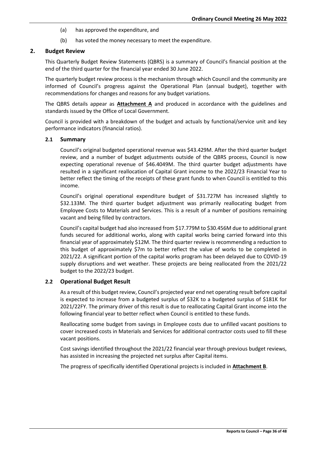- (a) has approved the expenditure, and
- (b) has voted the money necessary to meet the expenditure.

# **2. Budget Review**

This Quarterly Budget Review Statements (QBRS) is a summary of Council's financial position at the end of the third quarter for the financial year ended 30 June 2022.

The quarterly budget review process is the mechanism through which Council and the community are informed of Council's progress against the Operational Plan (annual budget), together with recommendations for changes and reasons for any budget variations.

The QBRS details appear as **Attachment A** and produced in accordance with the guidelines and standards issued by the Office of Local Government.

Council is provided with a breakdown of the budget and actuals by functional/service unit and key performance indicators (financial ratios).

# **2.1 Summary**

Council's original budgeted operational revenue was \$43.429M. After the third quarter budget review, and a number of budget adjustments outside of the QBRS process, Council is now expecting operational revenue of \$46.4049M. The third quarter budget adjustments have resulted in a significant reallocation of Capital Grant income to the 2022/23 Financial Year to better reflect the timing of the receipts of these grant funds to when Council is entitled to this income.

Council's original operational expenditure budget of \$31.727M has increased slightly to \$32.133M. The third quarter budget adjustment was primarily reallocating budget from Employee Costs to Materials and Services. This is a result of a number of positions remaining vacant and being filled by contractors.

Council's capital budget had also increased from \$17.779M to \$30.456M due to additional grant funds secured for additional works, along with capital works being carried forward into this financial year of approximately \$12M. The third quarter review is recommending a reduction to this budget of approximately \$7m to better reflect the value of works to be completed in 2021/22. A significant portion of the capital works program has been delayed due to COVID-19 supply disruptions and wet weather. These projects are being reallocated from the 2021/22 budget to the 2022/23 budget.

# **2.2 Operational Budget Result**

As a result of this budget review, Council's projected year end net operating result before capital is expected to increase from a budgeted surplus of \$32K to a budgeted surplus of \$181K for 2021/22FY. The primary driver of this result is due to reallocating Capital Grant income into the following financial year to better reflect when Council is entitled to these funds.

Reallocating some budget from savings in Employee costs due to unfilled vacant positions to cover increased costs in Materials and Services for additional contractor costs used to fill these vacant positions.

Cost savings identified throughout the 2021/22 financial year through previous budget reviews, has assisted in increasing the projected net surplus after Capital items.

The progress of specifically identified Operational projects is included in **Attachment B**.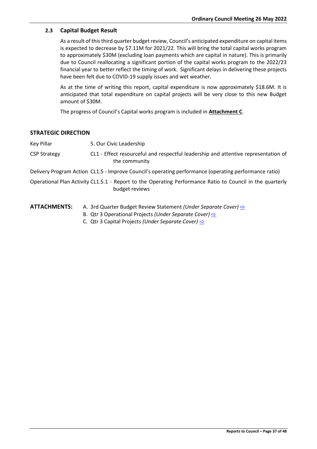# **2.3 Capital Budget Result**

As a result of this third quarter budget review, Council's anticipated expenditure on capital items is expected to decrease by \$7.11M for 2021/22. This will bring the total capital works program to approximately \$30M (excluding loan payments which are capital in nature). This is primarily due to Council reallocating a significant portion of the capital works program to the 2022/23 financial year to better reflect the timing of work. Significant delays in delivering these projects have been felt due to COVID-19 supply issues and wet weather.

As at the time of writing this report, capital expenditure is now approximately \$18.6M. It is anticipated that total expenditure on capital projects will be very close to this new Budget amount of \$30M.

The progress of Council's Capital works program is included in **Attachment C**.

# **STRATEGIC DIRECTION**

Key Pillar 5. Our Civic Leadership

CSP Strategy CL1 - Effect resourceful and respectful leadership and attentive representation of the community

Delivery Program Action CL1.5 - Improve Council's operating performance (operating performance ratio)

Operational Plan Activity CL1.5.1 - Report to the Operating Performance Ratio to Council in the quarterly budget reviews

- **ATTACHMENTS:** A. 3rd Quarter Budget Review Statement *(Under Separate Cover)* **[⇨](../../../RedirectToInvalidFileName.aspx?FileName=CO_26052022_ATT_670_EXCLUDED.PDF#PAGE=143)** 
	- B. Qtr 3 Operational Projects *(Under Separate Cover)* **[⇨](../../../RedirectToInvalidFileName.aspx?FileName=CO_26052022_ATT_670_EXCLUDED.PDF#PAGE=156)**
	- C. Qtr 3 Capital Projects *(Under Separate Cover)* [⇨](../../../RedirectToInvalidFileName.aspx?FileName=CO_26052022_ATT_670_EXCLUDED.PDF#PAGE=160)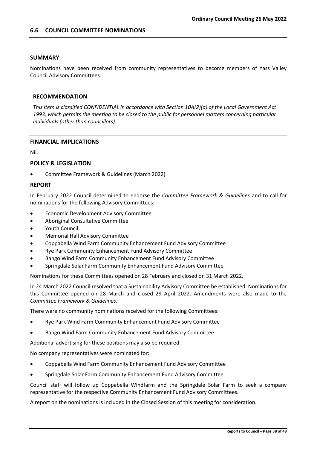# <span id="page-37-0"></span>**6.6 COUNCIL COMMITTEE NOMINATIONS**

# **SUMMARY**

Nominations have been received from community representatives to become members of Yass Valley Council Advisory Committees.

# **RECOMMENDATION**

*This item is classified CONFIDENTIAL in accordance with Section 10A(2)(a) of the Local Government Act 1993, which permits the meeting to be closed to the public for personnel matters concerning particular individuals (other than councillors).*

#### **FINANCIAL IMPLICATIONS**

Nil.

# **POLICY & LEGISLATION**

• Committee Framework & Guidelines (March 2022)

# **REPORT**

In February 2022 Council determined to endorse the *Committee Framework & Guidelines* and to call for nominations for the following Advisory Committees:

- Economic Development Advisory Committee
- Aboriginal Consultative Committee
- Youth Council
- Memorial Hall Advisory Committee
- Coppabella Wind Farm Community Enhancement Fund Advisory Committee
- Rye Park Community Enhancement Fund Advisory Committee
- Bango Wind Farm Community Enhancement Fund Advisory Committee
- Springdale Solar Farm Community Enhancement Fund Advisory Committee

Nominations for these Committees opened on 28 February and closed on 31 March 2022.

In 24 March 2022 Council resolved that a Sustainability Advisory Committee be established. Nominations for this Committee opened on 28 March and closed 29 April 2022. Amendments were also made to the *Committee Framework & Guidelines*.

There were no community nominations received for the following Committees:

- Rye Park Wind Farm Community Enhancement Fund Advisory Committee
- Bango Wind Farm Community Enhancement Fund Advisory Committee

Additional advertising for these positions may also be required.

No company representatives were nominated for:

- Coppabella Wind Farm Community Enhancement Fund Advisory Committee
- Springdale Solar Farm Community Enhancement Fund Advisory Committee

Council staff will follow up Coppabella Windfarm and the Springdale Solar Farm to seek a company representative for the respective Community Enhancement Fund Advisory Committees.

A report on the nominations is included in the Closed Session of this meeting for consideration.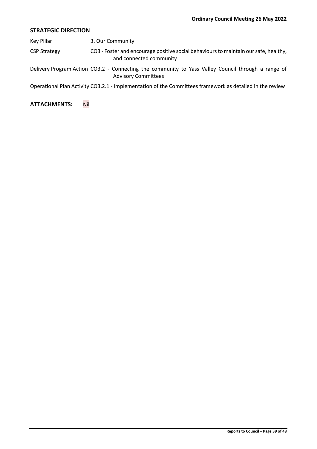# **STRATEGIC DIRECTION**

Key Pillar 3. Our Community

| <b>CSP Strategy</b> | CO3 - Foster and encourage positive social behaviours to maintain our safe, healthy, |
|---------------------|--------------------------------------------------------------------------------------|
|                     | and connected community                                                              |

Delivery Program Action CO3.2 - Connecting the community to Yass Valley Council through a range of Advisory Committees

Operational Plan Activity CO3.2.1 - Implementation of the Committees framework as detailed in the review

# **ATTACHMENTS:** Nil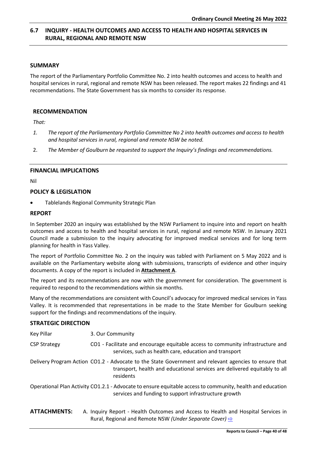# <span id="page-39-0"></span>**6.7 INQUIRY - HEALTH OUTCOMES AND ACCESS TO HEALTH AND HOSPITAL SERVICES IN RURAL, REGIONAL AND REMOTE NSW**

# **SUMMARY**

The report of the Parliamentary Portfolio Committee No. 2 into health outcomes and access to health and hospital services in rural, regional and remote NSW has been released. The report makes 22 findings and 41 recommendations. The State Government has six months to consider its response.

# **RECOMMENDATION**

*That:*

- *1. The report of the Parliamentary Portfolio Committee No 2 into health outcomes and access to health and hospital services in rural, regional and remote NSW be noted.*
- 2. *The Member of Goulburn be requested to support the Inquiry's findings and recommendations.*

# **FINANCIAL IMPLICATIONS**

Nil

# **POLICY & LEGISLATION**

• Tablelands Regional Community Strategic Plan

# **REPORT**

In September 2020 an inquiry was established by the NSW Parliament to inquire into and report on health outcomes and access to health and hospital services in rural, regional and remote NSW. In January 2021 Council made a submission to the inquiry advocating for improved medical services and for long term planning for health in Yass Valley.

The report of Portfolio Committee No. 2 on the inquiry was tabled with Parliament on 5 May 2022 and is available on the Parliamentary website along with submissions, transcripts of evidence and other inquiry documents. A copy of the report is included in **Attachment A**.

The report and its recommendations are now with the government for consideration. The government is required to respond to the recommendations within six months.

Many of the recommendations are consistent with Council's advocacy for improved medical services in Yass Valley. It is recommended that representations in be made to the State Member for Goulburn seeking support for the findings and recommendations of the inquiry.

# **STRATEGIC DIRECTION**

| Key Pillar          | 3. Our Community                                                                                                                                                                                |
|---------------------|-------------------------------------------------------------------------------------------------------------------------------------------------------------------------------------------------|
| <b>CSP Strategy</b> | CO1 - Facilitate and encourage equitable access to community infrastructure and<br>services, such as health care, education and transport                                                       |
|                     | Delivery Program Action CO1.2 - Advocate to the State Government and relevant agencies to ensure that<br>transport, health and educational services are delivered equitably to all<br>residents |
|                     | Operational Plan Activity CO1.2.1 - Advocate to ensure equitable access to community, health and education<br>services and funding to support infrastructure growth                             |
| <b>ATTACHMENTS:</b> | A. Inquiry Report - Health Outcomes and Access to Health and Hospital Services in<br>Rural, Regional and Remote NSW (Under Separate Cover) $\Rightarrow$                                        |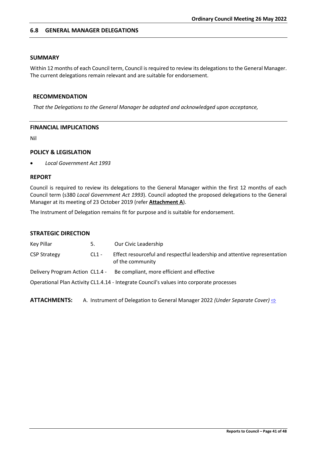# <span id="page-40-0"></span>**6.8 GENERAL MANAGER DELEGATIONS**

# **SUMMARY**

Within 12 months of each Council term, Council is required to review its delegations to the General Manager. The current delegations remain relevant and are suitable for endorsement.

# **RECOMMENDATION**

*That the Delegations to the General Manager be adopted and acknowledged upon acceptance,*

# **FINANCIAL IMPLICATIONS**

Nil

# **POLICY & LEGISLATION**

• *Local Government Act 1993*

# **REPORT**

Council is required to review its delegations to the General Manager within the first 12 months of each Council term (s380 *Local Government Act 1993*). Council adopted the proposed delegations to the General Manager at its meeting of 23 October 2019 (refer **Attachment A**).

The Instrument of Delegation remains fit for purpose and is suitable for endorsement.

# **STRATEGIC DIRECTION**

| Key Pillar                      | 5.      | Our Civic Leadership                                                                          |
|---------------------------------|---------|-----------------------------------------------------------------------------------------------|
| <b>CSP Strategy</b>             | $CL1 -$ | Effect resourceful and respectful leadership and attentive representation<br>of the community |
| Delivery Program Action CL1.4 - |         | Be compliant, more efficient and effective                                                    |
|                                 |         | Operational Plan Activity CL1.4.14 - Integrate Council's values into corporate processes      |

**ATTACHMENTS:** A. Instrument of Delegation to General Manager 2022 *(Under Separate Cover)* **[⇨](../../../RedirectToInvalidFileName.aspx?FileName=CO_26052022_ATT_670_EXCLUDED.PDF#PAGE=485)**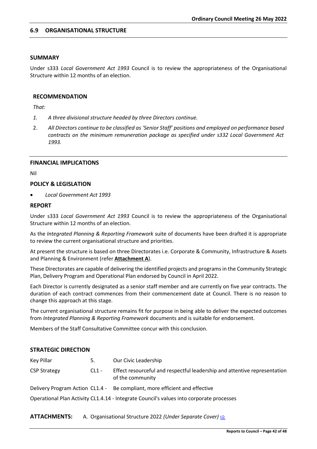# <span id="page-41-0"></span>**SUMMARY**

Under s333 *Local Government Act 1993* Council is to review the appropriateness of the Organisational Structure within 12 months of an election.

# **RECOMMENDATION**

*That:*

- *1. A three divisional structure headed by three Directors continue.*
- 2. *All Directors continue to be classified as 'Senior Staff' positions and employed on performance based contracts on the minimum remuneration package as specified under s332 Local Government Act 1993.*

# **FINANCIAL IMPLICATIONS**

Nil

# **POLICY & LEGISLATION**

• *Local Government Act 1993*

# **REPORT**

Under s333 *Local Government Act 1993* Council is to review the appropriateness of the Organisational Structure within 12 months of an election.

As the *Integrated Planning & Reporting Framework* suite of documents have been drafted it is appropriate to review the current organisational structure and priorities.

At present the structure is based on three Directorates i.e. Corporate & Community, Infrastructure & Assets and Planning & Environment (refer **Attachment A**).

These Directorates are capable of delivering the identified projects and programs in the Community Strategic Plan, Delivery Program and Operational Plan endorsed by Council in April 2022.

Each Director is currently designated as a senior staff member and are currently on five year contracts. The duration of each contract commences from their commencement date at Council. There is no reason to change this approach at this stage.

The current organisational structure remains fit for purpose in being able to deliver the expected outcomes from *Integrated Planning & Reporting Framework* documents and is suitable for endorsement.

Members of the Staff Consultative Committee concur with this conclusion.

# **STRATEGIC DIRECTION**

| Key Pillar                                                                               | 5.      | Our Civic Leadership                                                                          |  |  |  |  |
|------------------------------------------------------------------------------------------|---------|-----------------------------------------------------------------------------------------------|--|--|--|--|
| <b>CSP Strategy</b>                                                                      | $CL1 -$ | Effect resourceful and respectful leadership and attentive representation<br>of the community |  |  |  |  |
|                                                                                          |         | Delivery Program Action CL1.4 - Be compliant, more efficient and effective                    |  |  |  |  |
| Operational Plan Activity CL1.4.14 - Integrate Council's values into corporate processes |         |                                                                                               |  |  |  |  |

**ATTACHMENTS:** A. Organisational Structure 2022 *(Under Separate Cover)* [⇨](../../../RedirectToInvalidFileName.aspx?FileName=CO_26052022_ATT_670_EXCLUDED.PDF#PAGE=493)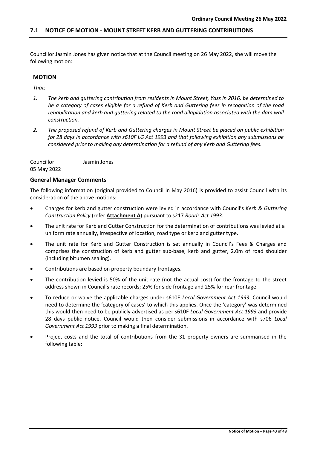# <span id="page-42-0"></span>**7.1 NOTICE OF MOTION - MOUNT STREET KERB AND GUTTERING CONTRIBUTIONS**

Councillor Jasmin Jones has given notice that at the Council meeting on 26 May 2022, she will move the following motion:

# **MOTION**

*That:*

- *1. The kerb and guttering contribution from residents in Mount Street, Yass in 2016, be determined to be a category of cases eligible for a refund of Kerb and Guttering fees in recognition of the road rehabilitation and kerb and guttering related to the road dilapidation associated with the dam wall construction.*
- *2. The proposed refund of Kerb and Guttering charges in Mount Street be placed on public exhibition for 28 days in accordance with s610F LG Act 1993 and that following exhibition any submissions be considered prior to making any determination for a refund of any Kerb and Guttering fees.*

Councillor: Jasmin Jones 05 May 2022

# **General Manager Comments**

The following information (original provided to Council in May 2016) is provided to assist Council with its consideration of the above motions:

- Charges for kerb and gutter construction were levied in accordance with Council's *Kerb & Guttering Construction Policy* (refer **Attachment A**) pursuant to s217 *Roads Act 1993.*
- The unit rate for Kerb and Gutter Construction for the determination of contributions was levied at a uniform rate annually, irrespective of location, road type or kerb and gutter type.
- The unit rate for Kerb and Gutter Construction is set annually in Council's Fees & Charges and comprises the construction of kerb and gutter sub-base, kerb and gutter, 2.0m of road shoulder (including bitumen sealing).
- Contributions are based on property boundary frontages.
- The contribution levied is 50% of the unit rate (not the actual cost) for the frontage to the street address shown in Council's rate records; 25% for side frontage and 25% for rear frontage.
- To reduce or waive the applicable charges under s610E *Local Government Act 1993*, Council would need to determine the 'category of cases' to which this applies. Once the 'category' was determined this would then need to be publicly advertised as per s610F *Local Government Act 1993* and provide 28 days public notice. Council would then consider submissions in accordance with s706 *Local Government Act 1993* prior to making a final determination.
- Project costs and the total of contributions from the 31 property owners are summarised in the following table: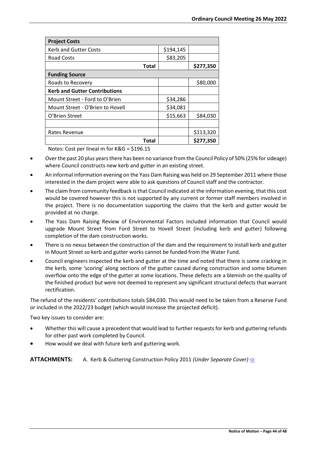| <b>Project Costs</b>                 |           |           |  |  |  |
|--------------------------------------|-----------|-----------|--|--|--|
| <b>Kerb and Gutter Costs</b>         | \$194,145 |           |  |  |  |
| <b>Road Costs</b>                    | \$83,205  |           |  |  |  |
| <b>Total</b>                         |           | \$277,350 |  |  |  |
| <b>Funding Source</b>                |           |           |  |  |  |
| Roads to Recovery                    |           | \$80,000  |  |  |  |
| <b>Kerb and Gutter Contributions</b> |           |           |  |  |  |
| Mount Street - Ford to O'Brien       | \$34,286  |           |  |  |  |
| Mount Street - O'Brien to Hovell     | \$34,081  |           |  |  |  |
| O'Brien Street                       | \$15,663  | \$84,030  |  |  |  |
|                                      |           |           |  |  |  |
| Rates Revenue                        |           | \$113,320 |  |  |  |
| Total                                |           | \$277,350 |  |  |  |

Notes: Cost per lineal m for K&G = \$196.15

- Over the past 20 plus years there has been no variance from the Council Policy of 50% (25% for sideage) where Council constructs new kerb and gutter in an existing street.
- An informal information evening on the Yass Dam Raising was held on 29 September 2011 where those interested in the dam project were able to ask questions of Council staff and the contractor.
- The claim from community feedback is that Council indicated at the information evening, that this cost would be covered however this is not supported by any current or former staff members involved in the project. There is no documentation supporting the claims that the kerb and gutter would be provided at no charge.
- The Yass Dam Raising Review of Environmental Factors included information that Council would upgrade Mount Street from Ford Street to Hovell Street (including kerb and gutter) following completion of the dam construction works.
- There is no nexus between the construction of the dam and the requirement to install kerb and gutter in Mount Street so kerb and gutter works cannot be funded from the Water Fund.
- Council engineers inspected the kerb and gutter at the time and noted that there is some cracking in the kerb, some 'scoring' along sections of the gutter caused during construction and some bitumen overflow onto the edge of the gutter at some locations. These defects are a blemish on the quality of the finished product but were not deemed to represent any significant structural defects that warrant rectification.

The refund of the residents' contributions totals \$84,030. This would need to be taken from a Reserve Fund or included in the 2022/23 budget (which would increase the projected deficit).

Two key issues to consider are:

- Whether this will cause a precedent that would lead to further requests for kerb and guttering refunds for other past work completed by Council.
- How would we deal with future kerb and guttering work.

**ATTACHMENTS:** A. Kerb & Guttering Construction Policy 2011 *(Under Separate Cover)* [⇨](../../../RedirectToInvalidFileName.aspx?FileName=CO_26052022_ATT_670_EXCLUDED.PDF#PAGE=494)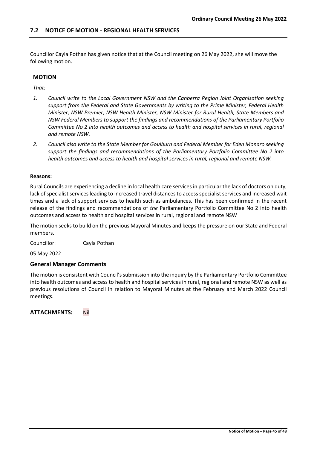# <span id="page-44-0"></span>**7.2 NOTICE OF MOTION - REGIONAL HEALTH SERVICES**

Councillor Cayla Pothan has given notice that at the Council meeting on 26 May 2022, she will move the following motion.

#### **MOTION**

*That:*

- *1. Council write to the Local Government NSW and the Canberra Region Joint Organisation seeking support from the Federal and State Governments by writing to the Prime Minister, Federal Health Minister, NSW Premier, NSW Health Minister, NSW Minister for Rural Health, State Members and NSW Federal Members to support the findings and recommendations of the Parliamentary Portfolio Committee No 2 into health outcomes and access to health and hospital services in rural, regional and remote NSW.*
- *2. Council also write to the State Member for Goulburn and Federal Member for Eden Monaro seeking support the findings and recommendations of the Parliamentary Portfolio Committee No 2 into health outcomes and access to health and hospital services in rural, regional and remote NSW.*

#### **Reasons:**

Rural Councils are experiencing a decline in local health care services in particular the lack of doctors on duty, lack of specialist services leading to increased travel distances to access specialist services and increased wait times and a lack of support services to health such as ambulances. This has been confirmed in the recent release of the findings and recommendations of *the* Parliamentary Portfolio Committee No 2 into health outcomes and access to health and hospital services in rural, regional and remote NSW

The motion seeks to build on the previous Mayoral Minutes and keeps the pressure on our State and Federal members.

Councillor: Cayla Pothan

05 May 2022

#### **General Manager Comments**

The motion is consistent with Council's submission into the inquiry by the Parliamentary Portfolio Committee into health outcomes and access to health and hospital services in rural, regional and remote NSW as well as previous resolutions of Council in relation to Mayoral Minutes at the February and March 2022 Council meetings.

**ATTACHMENTS:** Nil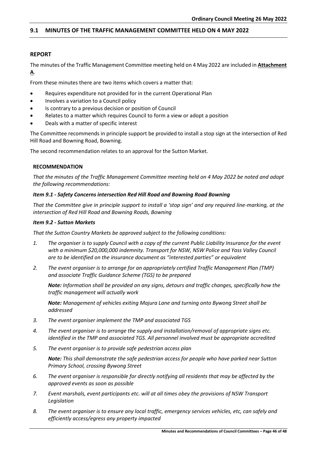# <span id="page-45-0"></span>**9.1 MINUTES OF THE TRAFFIC MANAGEMENT COMMITTEE HELD ON 4 MAY 2022**

# **REPORT**

The minutes of the Traffic Management Committee meeting held on 4 May 2022 are included in **Attachment A**.

From these minutes there are two items which covers a matter that:

- Requires expenditure not provided for in the current Operational Plan
- Involves a variation to a Council policy
- Is contrary to a previous decision or position of Council
- Relates to a matter which requires Council to form a view or adopt a position
- Deals with a matter of specific interest

The Committee recommends in principle support be provided to install a stop sign at the intersection of Red Hill Road and Bowning Road, Bowning.

The second recommendation relates to an approval for the Sutton Market.

# **RECOMMENDATION**

*That the minutes of the Traffic Management Committee meeting held on 4 May 2022 be noted and adopt the following recommendations:*

# *Item 9.1 - Safety Concerns intersection Red Hill Road and Bowning Road Bowning*

*That the Committee give in principle support to install a 'stop sign' and any required line-marking, at the intersection of Red Hill Road and Bowning Roads, Bowning*

# *Item 9.2 - Sutton Markets*

*That the Sutton Country Markets be approved subject to the following conditions:*

- *1. The organiser is to supply Council with a copy of the current Public Liability Insurance for the event with a minimum \$20,000,000 indemnity. Transport for NSW, NSW Police and Yass Valley Council are to be identified on the insurance document as "interested parties" or equivalent*
- *2. The event organiser is to arrange for an appropriately certified Traffic Management Plan (TMP) and associate Traffic Guidance Scheme (TGS) to be prepared*

*Note: Information shall be provided on any signs, detours and traffic changes, specifically how the traffic management will actually work*

*Note: Management of vehicles exiting Majura Lane and turning onto Bywong Street shall be addressed*

- *3. The event organiser implement the TMP and associated TGS*
- *4. The event organiser is to arrange the supply and installation/removal of appropriate signs etc. identified in the TMP and associated TGS. All personnel involved must be appropriate accredited*
- *5. The event organiser is to provide safe pedestrian access plan*

*Note: This shall demonstrate the safe pedestrian access for people who have parked near Sutton Primary School, crossing Bywong Street*

- *6. The event organiser is responsible for directly notifying all residents that may be affected by the approved events as soon as possible*
- *7. Event marshals, event participants etc. will at all times obey the provisions of NSW Transport Legislation*
- *8. The event organiser is to ensure any local traffic, emergency services vehicles, etc, can safely and efficiently access/egress any property impacted*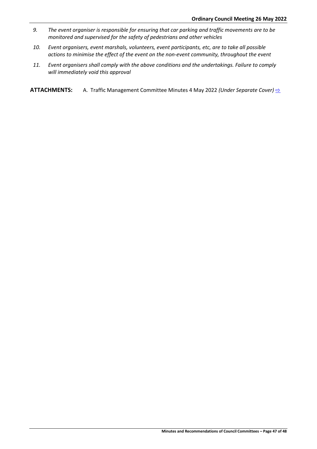- *9. The event organiser is responsible for ensuring that car parking and traffic movements are to be monitored and supervised for the safety of pedestrians and other vehicles*
- *10. Event organisers, event marshals, volunteers, event participants, etc, are to take all possible actions to minimise the effect of the event on the non-event community, throughout the event*
- *11. Event organisers shall comply with the above conditions and the undertakings. Failure to comply will immediately void this approval*

**ATTACHMENTS:** A. Traffic Management Committee Minutes 4 May 2022 *(Under Separate Cover)* <del>⊵</del>